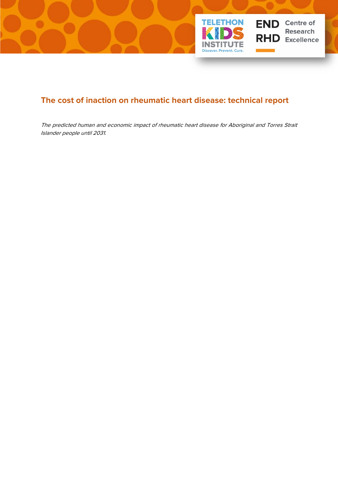

# **The cost of inaction on rheumatic heart disease: technical report**

The predicted human and economic impact of rheumatic heart disease for Aboriginal and Torres Strait Islander people until 2031.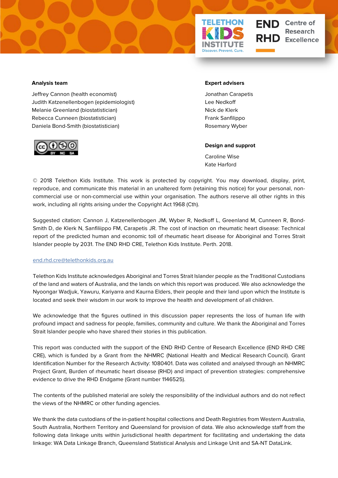

**END** Centre of **Research Excellence** 

#### **Analysis team**

Jeffrey Cannon (health economist) Judith Katzenellenbogen (epidemiologist) Melanie Greenland (biostatistician) Rebecca Cunneen (biostatistician) Daniela Bond-Smith (biostatistician)



#### **Expert advisers**

Jonathan Carapetis Lee Nedkoff Nick de Klerk Frank Sanfilippo Rosemary Wyber

#### **Design and supprot**

Caroline Wise Kate Harford

© 2018 Telethon Kids Institute. This work is protected by copyright. You may download, display, print, reproduce, and communicate this material in an unaltered form (retaining this notice) for your personal, noncommercial use or non-commercial use within your organisation. The authors reserve all other rights in this work, including all rights arising under the Copyright Act 1968 (Cth).

Suggested citation: Cannon J, Katzenellenbogen JM, Wyber R, Nedkoff L, Greenland M, Cunneen R, Bond-Smith D, de Klerk N, Sanfiliippo FM, Carapetis JR. The cost of inaction on rheumatic heart disease: Technical report of the predicted human and economic toll of rheumatic heart disease for Aboriginal and Torres Strait Islander people by 2031. The END RHD CRE, Telethon Kids Institute. Perth. 2018.

#### [end.rhd.cre@telethonkids.org.au](mailto:end.rhd.cre@telethonkids.org.au)

Telethon Kids Institute acknowledges Aboriginal and Torres Strait Islander people as the Traditional Custodians of the land and waters of Australia, and the lands on which this report was produced. We also acknowledge the Nyoongar Wadjuk, Yawuru, Kariyarra and Kaurna Elders, their people and their land upon which the Institute is located and seek their wisdom in our work to improve the health and development of all children.

We acknowledge that the figures outlined in this discussion paper represents the loss of human life with profound impact and sadness for people, families, community and culture. We thank the Aboriginal and Torres Strait Islander people who have shared their stories in this publication.

This report was conducted with the support of the END RHD Centre of Research Excellence (END RHD CRE CRE), which is funded by a Grant from the NHMRC (National Health and Medical Research Council). Grant Identification Number for the Research Activity: 1080401. Data was collated and analysed through an NHMRC Project Grant, Burden of rheumatic heart disease (RHD) and impact of prevention strategies: comprehensive evidence to drive the RHD Endgame (Grant number 1146525).

The contents of the published material are solely the responsibility of the individual authors and do not reflect the views of the NHMRC or other funding agencies.

We thank the data custodians of the in-patient hospital collections and Death Registries from Western Australia, South Australia, Northern Territory and Queensland for provision of data. We also acknowledge staff from the following data linkage units within jurisdictional health department for facilitating and undertaking the data linkage: WA Data Linkage Branch, Queensland Statistical Analysis and Linkage Unit and SA-NT DataLink.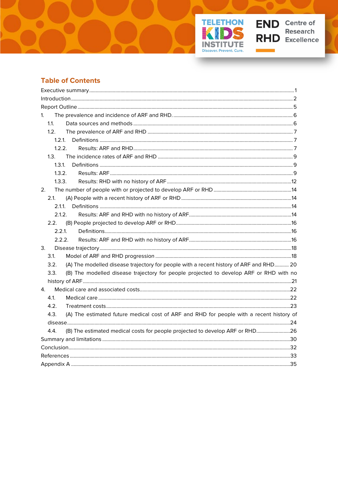



Ц.

٦

## **Table of Contents**

| 1.                                                                                               |  |
|--------------------------------------------------------------------------------------------------|--|
| 1.1.                                                                                             |  |
| 1.2.                                                                                             |  |
|                                                                                                  |  |
| 1.2.2.                                                                                           |  |
| 1.3.                                                                                             |  |
| 1.3.1.                                                                                           |  |
| 1.3.2.                                                                                           |  |
| 1.3.3.                                                                                           |  |
| 2.                                                                                               |  |
| 2.1.                                                                                             |  |
| $2.1.1$ .                                                                                        |  |
| 2.1.2.                                                                                           |  |
| 2.2.                                                                                             |  |
| 2.2.1                                                                                            |  |
| 2.2.2.                                                                                           |  |
| 3.                                                                                               |  |
| 3.1.                                                                                             |  |
| (A) The modelled disease trajectory for people with a recent history of ARF and RHD 20<br>3.2.   |  |
| (B) The modelled disease trajectory for people projected to develop ARF or RHD with no<br>3.3.   |  |
|                                                                                                  |  |
| 4.                                                                                               |  |
| 4.1.                                                                                             |  |
| 4.2.                                                                                             |  |
| (A) The estimated future medical cost of ARF and RHD for people with a recent history of<br>4.3. |  |
|                                                                                                  |  |
| (B) The estimated medical costs for people projected to develop ARF or RHD26<br>4.4.             |  |
|                                                                                                  |  |
|                                                                                                  |  |
|                                                                                                  |  |
|                                                                                                  |  |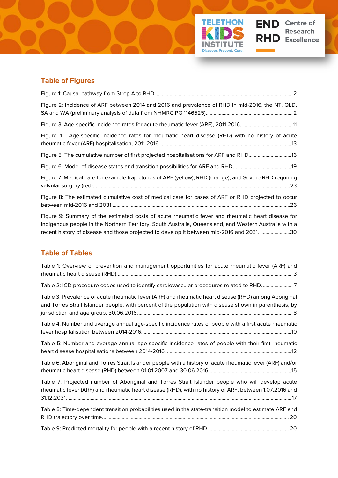

| Figure 2: Incidence of ARF between 2014 and 2016 and prevalence of RHD in mid-2016, the NT, QLD,        |
|---------------------------------------------------------------------------------------------------------|
| Figure 3: Age-specific incidence rates for acute rheumatic fever (ARF), 2011-2016. 11                   |
| Figure 4: Age-specific incidence rates for rheumatic heart disease (RHD) with no history of acute       |
| Figure 5: The cumulative number of first projected hospitalisations for ARF and RHD16                   |
|                                                                                                         |
| Figure 7: Medical care for example trajectories of ARF (yellow), RHD (orange), and Severe RHD requiring |
| Figure 8: The estimated cumulative cost of medical care for cases of ARF or RHD projected to occur      |

**TELETHON** 

STITl **Discover. Prevent. Cure.** 

**JTE** 

**END** Centre of

**RHD** Excellence

Research

[Figure 9: Summary of the estimated costs of acute rheumatic fever and rheumatic heart disease for](#page-34-1)  [Indigenous people in the Northern Territory, South Australia, Queensland, and Western Australia with a](#page-34-1)  [recent history of disease and those projected to develop it between mid-2016 and 2031.](#page-34-1) .......................30

### **Table of Tables**

| Table 1: Overview of prevention and management opportunities for acute rheumatic fever (ARF) and                                                                                                                 |
|------------------------------------------------------------------------------------------------------------------------------------------------------------------------------------------------------------------|
| Table 2: ICD procedure codes used to identify cardiovascular procedures related to RHD7                                                                                                                          |
| Table 3: Prevalence of acute rheumatic fever (ARF) and rheumatic heart disease (RHD) among Aboriginal<br>and Torres Strait Islander people, with percent of the population with disease shown in parenthesis, by |
| Table 4: Number and average annual age-specific incidence rates of people with a first acute rheumatic                                                                                                           |
| Table 5: Number and average annual age-specific incidence rates of people with their first rheumatic                                                                                                             |
| Table 6: Aboriginal and Torres Strait Islander people with a history of acute rheumatic fever (ARF) and/or                                                                                                       |
| Table 7: Projected number of Aboriginal and Torres Strait Islander people who will develop acute<br>rheumatic fever (ARF) and rheumatic heart disease (RHD), with no history of ARF, between 1.07.2016 and       |
| Table 8: Time-dependent transition probabilities used in the state-transition model to estimate ARF and                                                                                                          |
|                                                                                                                                                                                                                  |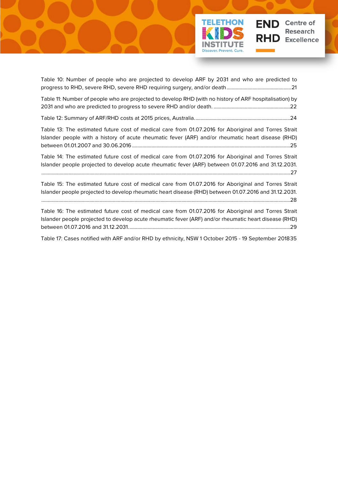

[Table 10: Number of people who are projected to develop ARF by 2031 and who are predicted to](#page-25-1)  [progress to RHD, severe RHD, severe RHD requiring surgery, and/or death..................................................21](#page-25-1) [Table 11: Number of people who are projected to develop RHD \(with no history of ARF hospitalisation\) by](#page-26-2)  [2031 and who are predicted to progress to severe RHD and/or death.](#page-26-2) ...........................................................22 [Table 12: Summary of ARF/RHD costs at 2015 prices, Australia..........................................................................24](#page-28-1) [Table 13: The estimated future cost of medical care from 01.07.2016 for Aboriginal and Torres Strait](#page-29-0)  Islander people with a history of acute rheumatic [fever \(ARF\) and/or rheumatic heart disease \(RHD\)](#page-29-0)  [between 01.01.2007 and 30.06.2016..........................................................................................................................25](#page-29-0) [Table 14: The estimated future cost of medical care from 01.07.2016 for Aboriginal and Torres Strait](#page-31-0) 

[Islander people projected to develop acute rheumatic fever \(ARF\) between 01.07.2016 and 31.12.2031.](#page-31-0) [................................................................................................................................................................................................27](#page-31-0)

[Table 15: The estimated future cost of medical care from 01.07.2016 for Aboriginal and Torres Strait](#page-32-0)  [Islander people projected to develop rheumatic heart disease \(RHD\) between 01.07.2016 and 31.12.2031.](#page-32-0) [................................................................................................................................................................................................28](#page-32-0)

[Table 16: The estimated future cost of medical care from 01.07.2016 for Aboriginal and Torres Strait](#page-33-0)  [Islander people projected to develop acute rheumatic fever \(ARF\) and/or rheumatic heart disease \(RHD\)](#page-33-0)  [between 01.07.2016 and 31.12.2031.............................................................................................................................29](#page-33-0)

[Table 17: Cases notified with ARF and/or RHD by ethnicity, NSW 1 October 2015 -](#page-39-1) 19 September 201835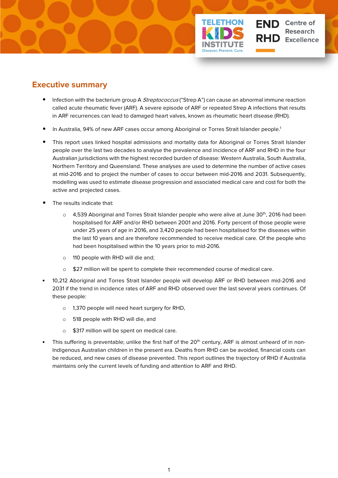

## <span id="page-5-0"></span>**Executive summary**

- Infection with the bacterium group A *Streptococcus* ("Strep A") can cause an abnormal immune reaction called acute rheumatic fever (ARF). A severe episode of ARF or repeated Strep A infections that results in ARF recurrences can lead to damaged heart valves, known as rheumatic heart disease (RHD).
- In Australia, 94% of new ARF cases occur among Aboriginal or Torres Strait Islander people.<sup>1</sup>
- This report uses linked hospital admissions and mortality data for Aboriginal or Torres Strait Islander people over the last two decades to analyse the prevalence and incidence of ARF and RHD in the four Australian jurisdictions with the highest recorded burden of disease: Western Australia, South Australia, Northern Territory and Queensland. These analyses are used to determine the number of active cases at mid-2016 and to project the number of cases to occur between mid-2016 and 2031. Subsequently, modelling was used to estimate disease progression and associated medical care and cost for both the active and projected cases.
- The results indicate that:
	- $\circ$  4,539 Aboriginal and Torres Strait Islander people who were alive at June 30<sup>th</sup>, 2016 had been hospitalised for ARF and/or RHD between 2001 and 2016. Forty percent of those people were under 25 years of age in 2016, and 3,420 people had been hospitalised for the diseases within the last 10 years and are therefore recommended to receive medical care. Of the people who had been hospitalised within the 10 years prior to mid-2016.
	- o 110 people with RHD will die and;
	- o \$27 million will be spent to complete their recommended course of medical care.
- 10,212 Aboriginal and Torres Strait Islander people will develop ARF or RHD between mid-2016 and 2031 if the trend in incidence rates of ARF and RHD observed over the last several years continues. Of these people:
	- o 1,370 people will need heart surgery for RHD,
	- o 518 people with RHD will die, and
	- o \$317 million will be spent on medical care.
- This suffering is preventable; unlike the first half of the  $20<sup>th</sup>$  century, ARF is almost unheard of in non-Indigenous Australian children in the present era. Deaths from RHD can be avoided, financial costs can be reduced, and new cases of disease prevented. This report outlines the trajectory of RHD if Australia maintains only the current levels of funding and attention to ARF and RHD.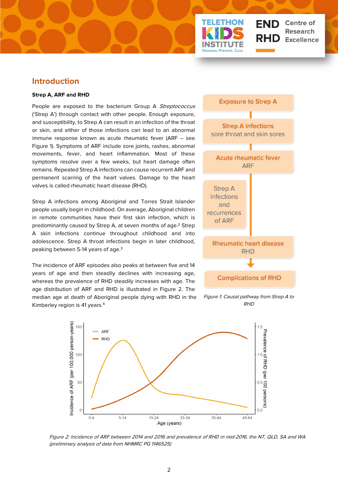

## <span id="page-6-0"></span>**Introduction**

#### **Strep A, ARF and RHD**

People are exposed to the bacterium Group A Streptococcus ('Strep A') through contact with other people. Enough exposure, and susceptibility, to Strep A can result in an infection of the throat or skin, and either of those infections can lead to an abnormal immune response known as acute rheumatic fever (ARF – see Figure 1). Symptoms of ARF include sore joints, rashes, abnormal movements, fever, and heart inflammation. Most of these symptoms resolve over a few weeks, but heart damage often remains. Repeated Strep A infections can cause recurrent ARF and permanent scarring of the heart valves. Damage to the heart valves is called rheumatic heart disease (RHD).

Strep A infections among Aboriginal and Torres Strait Islander people usually begin in childhood. On average, Aboriginal children in remote communities have their first skin infection, which is predominantly caused by Strep A, at seven months of age.<sup>2</sup> Strep A skin infections continue throughout childhood and into adolescence. Strep A throat infections begin in later childhood, peaking between 5-14 years of age.3

The incidence of ARF episodes also peaks at between five and 14 years of age and then steadily declines with increasing age, whereas the prevalence of RHD steadily increases with age. The age distribution of ARF and RHD is illustrated in Figure 2. The median age at death of Aboriginal people dying with RHD in the Kimberley region is 41 years.4



Figure 1: Causal pathway from Strep A to RHD



Figure 2: Incidence of ARF between 2014 and 2016 and prevalence of RHD in mid-2016, the NT, QLD, SA and WA (preliminary analysis of data from NHMRC PG 1146525)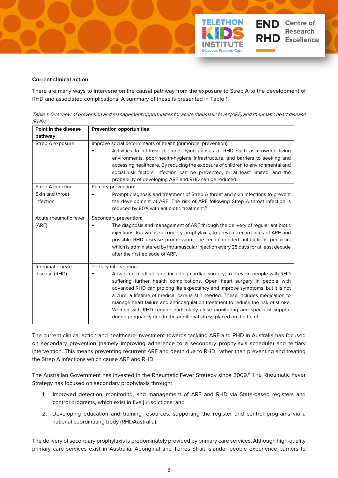

There are many ways to intervene on the causal pathway from the exposure to Strep A to the development of RHD and associated complications. A summary of these is presented in Table 1.

**ETHON** 

**END** Centre of

RHD.

**Research** 

**Excellence** 

<span id="page-7-0"></span>Table 1: Overview of prevention and management opportunities for acute rheumatic fever (ARF) and rheumatic heart disease (RHD).

| Point in the disease<br>pathway                   | <b>Prevention opportunities</b>                                                                                                                                                                                                                                                                                                                                                                                                                                                                                                                                                                  |
|---------------------------------------------------|--------------------------------------------------------------------------------------------------------------------------------------------------------------------------------------------------------------------------------------------------------------------------------------------------------------------------------------------------------------------------------------------------------------------------------------------------------------------------------------------------------------------------------------------------------------------------------------------------|
| Strep A exposure                                  | Improve social determinants of health (primordial prevention):<br>Activities to address the underlying causes of RHD such as crowded living<br>environments, poor health-hygiene infrastructure, and barriers to seeking and<br>accessing healthcare. By reducing the exposure of children to environmental and<br>social risk factors, infection can be prevented, or at least limited, and the<br>probability of developing ARF and RHD can be reduced.                                                                                                                                        |
| Strep A infection<br>Skin and throat<br>infection | Primary prevention:<br>Prompt diagnosis and treatment of Strep A throat and skin infections to prevent<br>the development of ARF. The risk of ARF following Strep A throat infection is<br>reduced by 80% with antibiotic treatment. <sup>5</sup>                                                                                                                                                                                                                                                                                                                                                |
| Acute rheumatic fever<br>(ARF)                    | Secondary prevention:<br>The diagnosis and management of ARF through the delivery of regular antibiotic<br>injections, known as secondary prophylaxis, to prevent recurrences of ARF and<br>possible RHD disease progression. The recommended antibiotic is penicillin,<br>which is administered by intramuscular injection every 28 days for at least decade<br>after the first episode of ARF.                                                                                                                                                                                                 |
| <b>Rheumatic heart</b><br>disease (RHD)           | Tertiary intervention:<br>Advanced medical care, including cardiac surgery, to prevent people with RHD<br>suffering further health complications. Open heart surgery in people with<br>advanced RHD can prolong life expectancy and improve symptoms, but it is not<br>a cure, a lifetime of medical care is still needed. These includes medication to<br>manage heart failure and anticoagulation treatment to reduce the risk of stroke.<br>Women with RHD require particularly close monitoring and specialist support<br>during pregnancy due to the additional stress placed on the heart. |

The current clinical action and healthcare investment towards tackling ARF and RHD in Australia has focused on secondary prevention (namely improving adherence to a secondary prophylaxis schedule) and tertiary intervention. This means preventing recurrent ARF and death due to RHD, rather than preventing and treating the Strep A infections which cause ARF and RHD.

The Australian Government has invested in the Rheumatic Fever Strategy since 2009.6 The Rheumatic Fever Strategy has focused on secondary prophylaxis through:

- 1. Improved detection, monitoring, and management of ARF and RHD via State-based registers and control programs, which exist in five jurisdictions; and
- 2. Developing education and training resources, supporting the register and control programs via a national coordinating body (RHDAustralia).

The delivery of secondary prophylaxis is predominately provided by primary care services. Although high-quality primary care services exist in Australia, Aboriginal and Torres Strait Islander people experience barriers to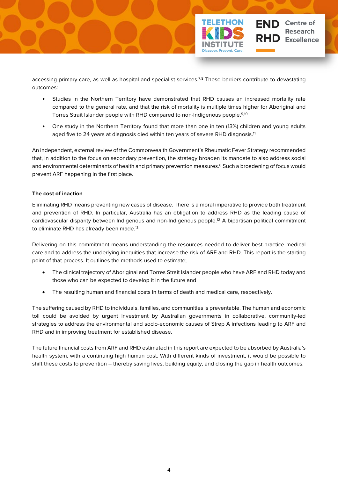

accessing primary care, as well as hospital and specialist services.<sup>7,8</sup> These barriers contribute to devastating outcomes:

- Studies in the Northern Territory have demonstrated that RHD causes an increased mortality rate compared to the general rate, and that the risk of mortality is multiple times higher for Aboriginal and Torres Strait Islander people with RHD compared to non-Indigenous people. 9,10
- One study in the Northern Territory found that more than one in ten (13%) children and young adults aged five to 24 years at diagnosis died within ten years of severe RHD diagnosis.<sup>11</sup>

An independent, external review of the Commonwealth Government's Rheumatic Fever Strategy recommended that, in addition to the focus on secondary prevention, the strategy broaden its mandate to also address social and environmental determinants of health and primary prevention measures. <sup>6</sup> Such a broadening of focus would prevent ARF happening in the first place.

### **The cost of inaction**

Eliminating RHD means preventing new cases of disease. There is a moral imperative to provide both treatment and prevention of RHD. In particular, Australia has an obligation to address RHD as the leading cause of cardiovascular disparity between Indigenous and non-Indigenous people.12 A bipartisan political commitment to eliminate RHD has already been made.<sup>13</sup>

Delivering on this commitment means understanding the resources needed to deliver best-practice medical care and to address the underlying inequities that increase the risk of ARF and RHD. This report is the starting point of that process. It outlines the methods used to estimate;

- The clinical trajectory of Aboriginal and Torres Strait Islander people who have ARF and RHD today and those who can be expected to develop it in the future and
- The resulting human and financial costs in terms of death and medical care, respectively.

The suffering caused by RHD to individuals, families, and communities is preventable. The human and economic toll could be avoided by urgent investment by Australian governments in collaborative, community-led strategies to address the environmental and socio-economic causes of Strep A infections leading to ARF and RHD and in improving treatment for established disease.

The future financial costs from ARF and RHD estimated in this report are expected to be absorbed by Australia's health system, with a continuing high human cost. With different kinds of investment, it would be possible to shift these costs to prevention – thereby saving lives, building equity, and closing the gap in health outcomes.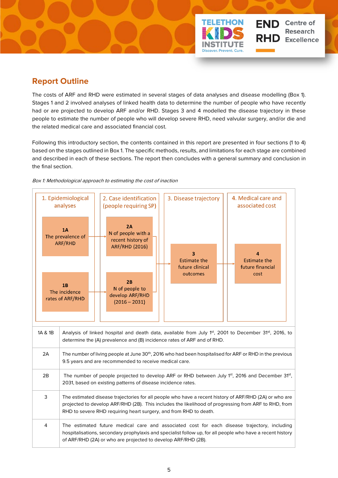# <span id="page-9-0"></span>**Report Outline**

The costs of ARF and RHD were estimated in several stages of data analyses and disease modelling (Box 1). Stages 1 and 2 involved analyses of linked health data to determine the number of people who have recently had or are projected to develop ARF and/or RHD. Stages 3 and 4 modelled the disease trajectory in these people to estimate the number of people who will develop severe RHD, need valvular surgery, and/or die and the related medical care and associated financial cost.

**END** Centre of

**RHD** Excellence

**Research** 

Following this introductory section, the contents contained in this report are presented in four sections (1 to 4) based on the stages outlined in Box 1. The specific methods, results, and limitations for each stage are combined and described in each of these sections. The report then concludes with a general summary and conclusion in the final section.

### Box 1: Methodological approach to estimating the cost of inaction

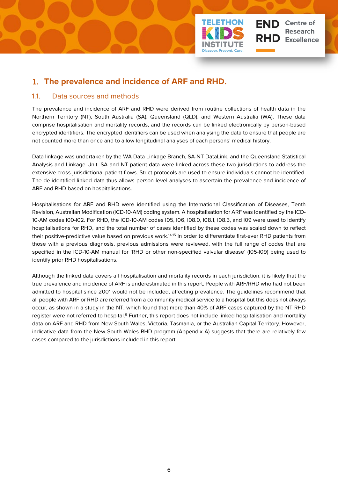

## <span id="page-10-0"></span>1. **The prevalence and incidence of ARF and RHD.**

### <span id="page-10-1"></span>1.1. Data sources and methods

The prevalence and incidence of ARF and RHD were derived from routine collections of health data in the Northern Territory (NT), South Australia (SA), Queensland (QLD), and Western Australia (WA). These data comprise hospitalisation and mortality records, and the records can be linked electronically by person-based encrypted identifiers. The encrypted identifiers can be used when analysing the data to ensure that people are not counted more than once and to allow longitudinal analyses of each persons' medical history.

Data linkage was undertaken by the WA Data Linkage Branch, SA-NT DataLink, and the Queensland Statistical Analysis and Linkage Unit. SA and NT patient data were linked across these two jurisdictions to address the extensive cross-jurisdictional patient flows. Strict protocols are used to ensure individuals cannot be identified. The de-identified linked data thus allows person level analyses to ascertain the prevalence and incidence of ARF and RHD based on hospitalisations.

Hospitalisations for ARF and RHD were identified using the International Classification of Diseases, Tenth Revision, Australian Modification (ICD-10-AM) coding system. A hospitalisation for ARF was identified by the ICD-10-AM codes I00-I02. For RHD, the ICD-10-AM codes I05, I06, I08.0, I08.1, I08.3, and I09 were used to identify hospitalisations for RHD, and the total number of cases identified by these codes was scaled down to reflect their positive-predictive value based on previous work.<sup>14,15</sup> In order to differentiate first-ever RHD patients from those with a previous diagnosis, previous admissions were reviewed, with the full range of codes that are specified in the ICD-10-AM manual for 'RHD or other non-specified valvular disease' (I05-I09) being used to identify prior RHD hospitalisations.

Although the linked data covers all hospitalisation and mortality records in each jurisdiction, it is likely that the true prevalence and incidence of ARF is underestimated in this report. People with ARF/RHD who had not been admitted to hospital since 2001 would not be included, affecting prevalence. The guidelines recommend that all people with ARF or RHD are referred from a community medical service to a hospital but this does not always occur, as shown in a study in the NT, which found that more than 40% of ARF cases captured by the NT RHD register were not referred to hospital.<sup>9</sup> Further, this report does not include linked hospitalisation and mortality data on ARF and RHD from New South Wales, Victoria, Tasmania, or the Australian Capital Territory. However, indicative data from the New South Wales RHD program (Appendix A) suggests that there are relatively few cases compared to the jurisdictions included in this report.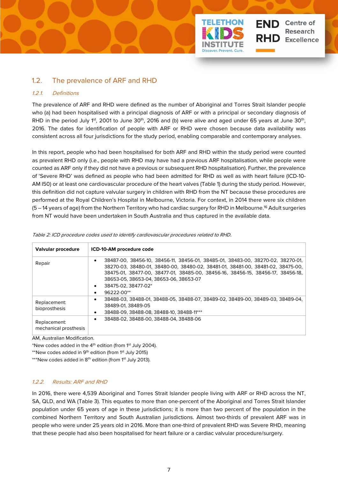<span id="page-11-0"></span>

### <span id="page-11-1"></span>1.2.1. Definitions

The prevalence of ARF and RHD were defined as the number of Aboriginal and Torres Strait Islander people who (a) had been hospitalised with a principal diagnosis of ARF or with a principal or secondary diagnosis of RHD in the period July 1st, 2001 to June  $30th$ , 2016 and (b) were alive and aged under 65 years at June  $30th$ , 2016. The dates for identification of people with ARF or RHD were chosen because data availability was consistent across all four jurisdictions for the study period, enabling comparable and contemporary analyses.

**Centre of** 

**Research Excellence** 

FND I

In this report, people who had been hospitalised for both ARF and RHD within the study period were counted as prevalent RHD only (i.e., people with RHD may have had a previous ARF hospitalisation, while people were counted as ARF only if they did not have a previous or subsequent RHD hospitalisation). Further, the prevalence of 'Severe RHD' was defined as people who had been admitted for RHD as well as with heart failure (ICD-10- AM I50) or at least one cardiovascular procedure of the heart valves (Table 1) during the study period. However, this definition did not capture valvular surgery in children with RHD from the NT because these procedures are performed at the Royal Children's Hospital in Melbourne, Victoria. For context, in 2014 there were six children (5 – 14 years of age) from the Northern Territory who had cardiac surgery for RHD in Melbourne.16 Adult surgeries from NT would have been undertaken in South Australia and thus captured in the available data.

| Valvular procedure                    | ICD-10-AM procedure code                                                                                                                                                                                                                                                                                                             |
|---------------------------------------|--------------------------------------------------------------------------------------------------------------------------------------------------------------------------------------------------------------------------------------------------------------------------------------------------------------------------------------|
| Repair                                | 38487-00, 38456-10, 38456-11, 38456-01, 38485-01, 38483-00, 38270-02, 38270-01,<br>38270-03, 38480-01, 38480-00, 38480-02, 38481-01, 38481-00, 38481-02, 38475-00,<br>38475-01, 38477-00, 38477-01, 38485-00, 38456-16, 38456-15, 38456-17, 38456-18,<br>38653-05, 38653-04, 38653-06, 38653-07<br>38475-02, 38477-02*<br>96222-00** |
| Replacement:<br>bioprosthesis         | 38488-03, 38488-01, 38488-05, 38488-07, 38489-02, 38489-00, 38489-03, 38489-04,<br>٠<br>38489-01.38489-05<br>38488-09, 38488-08, 38488-10, 38488-11***                                                                                                                                                                               |
| Replacement:<br>mechanical prosthesis | 38488-02.38488-00.38488-04.38488-06                                                                                                                                                                                                                                                                                                  |

<span id="page-11-3"></span>Table 2: ICD procedure codes used to identify cardiovascular procedures related to RHD.

AM, Australian Modification.

\*New codes added in the  $4<sup>th</sup>$  edition (from 1<sup>st</sup> July 2004).

\*\*New codes added in  $9<sup>th</sup>$  edition (from  $1<sup>st</sup>$  July 2015)

\*\*\*New codes added in 8<sup>th</sup> edition (from 1<sup>st</sup> July 2013).

#### <span id="page-11-2"></span>1.2.2. Results: ARF and RHD

In 2016, there were 4,539 Aboriginal and Torres Strait Islander people living with ARF or RHD across the NT, SA, QLD, and WA (Table 3). This equates to more than one-percent of the Aboriginal and Torres Strait Islander population under 65 years of age in these jurisdictions; it is more than two percent of the population in the combined Northern Territory and South Australian jurisdictions. Almost two-thirds of prevalent ARF was in people who were under 25 years old in 2016. More than one-third of prevalent RHD was Severe RHD, meaning that these people had also been hospitalised for heart failure or a cardiac valvular procedure/surgery.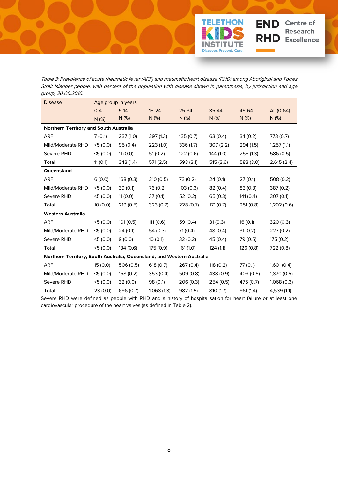<span id="page-12-0"></span>

**TELETHON** 

STIT Discover. Prevent. Cure.

TЕ

**END** Centre of

**RHD** Excellence

**Research** 

| group, oo.oo.zono.<br><b>Disease</b>                                   |         | Age group in years |             |           |           |           |             |
|------------------------------------------------------------------------|---------|--------------------|-------------|-----------|-----------|-----------|-------------|
|                                                                        | $0 - 4$ | $5-14$             | $15 - 24$   | 25-34     | 35-44     | 45-64     | All (0-64)  |
|                                                                        | N(%)    | $N$ (%)            | $N(\%)$     | $N$ (%)   | $N$ (%)   | $N$ (%)   | $N$ (%)     |
| <b>Northern Territory and South Australia</b>                          |         |                    |             |           |           |           |             |
| <b>ARF</b>                                                             | 7(0.1)  | 237(1.0)           | 297 (1.3)   | 135(0.7)  | 63 (0.4)  | 34(0.2)   | 773 (0.7)   |
| Mild/Moderate RHD                                                      | 5(0.0)  | 95(0.4)            | 223(1.0)    | 336 (1.7) | 307(2.2)  | 294(1.5)  | 1,257(1.1)  |
| Severe RHD                                                             | 5(0.0)  | 11(0.0)            | 51(0.2)     | 122(0.6)  | 144 (1.0) | 255(1.3)  | 586 (0.5)   |
| Total                                                                  | 11(0.1) | 343 (1.4)          | 571(2.5)    | 593 (3.1) | 515(3.6)  | 583 (3.0) | 2,615 (2.4) |
| Queensland                                                             |         |                    |             |           |           |           |             |
| <b>ARF</b>                                                             | 6(0.0)  | 168(0.3)           | 210(0.5)    | 73 (0.2)  | 24(0.1)   | 27(0.1)   | 508(0.2)    |
| Mild/Moderate RHD                                                      | 5(0.0)  | 39(0.1)            | 76 (0.2)    | 103(0.3)  | 82(0.4)   | 83(0.3)   | 387 (0.2)   |
| Severe RHD                                                             | 5(0.0)  | 11(0.0)            | 37(0.1)     | 52(0.2)   | 65(0.3)   | 141(0.4)  | 307(0.1)    |
| Total                                                                  | 10(0.0) | 219(0.5)           | 323(0.7)    | 228 (0.7) | 171 (0.7) | 251 (0.8) | 1,202 (0.6) |
| <b>Western Australia</b>                                               |         |                    |             |           |           |           |             |
| <b>ARF</b>                                                             | 5(0.0)  | 101(0.5)           | 111 (0.6)   | 59 (0.4)  | 31(0.3)   | 16(0.1)   | 320(0.3)    |
| Mild/Moderate RHD                                                      | 5(0.0)  | 24(0.1)            | 54(0.3)     | 71 (0.4)  | 48 (0.4)  | 31(0.2)   | 227(0.2)    |
| Severe RHD                                                             | 5(0.0)  | 9(0.0)             | 10(0.1)     | 32(0.2)   | 45 (0.4)  | 79 (0.5)  | 175(0.2)    |
| Total                                                                  | 5(0.0)  | 134 (0.6)          | 175 (0.9)   | 161 (1.0) | 124 (1.1) | 126 (0.8) | 722 (0.8)   |
| Northern Territory, South Australia, Queensland, and Western Australia |         |                    |             |           |           |           |             |
| <b>ARF</b>                                                             | 15(0.0) | 506(0.5)           | 618(0.7)    | 267(0.4)  | 118(0.2)  | 77(0.1)   | 1,601(0.4)  |
| Mild/Moderate RHD                                                      | 5(0.0)  | 158 (0.2)          | 353(0.4)    | 509(0.8)  | 438 (0.9) | 409 (0.6) | 1,870 (0.5) |
| Severe RHD                                                             | 5(0.0)  | 32(0.0)            | 98 (0.1)    | 206(0.3)  | 254(0.5)  | 475 (0.7) | 1,068(0.3)  |
| Total                                                                  | 23(0.0) | 696 (0.7)          | 1,068 (1.3) | 982 (1.5) | 810 (1.7) | 961 (1.4) | 4,539 (1.1) |

Severe RHD were defined as people with RHD and a history of hospitalisation for heart failure or at least one cardiovascular procedure of the heart valves (as defined in Table 2).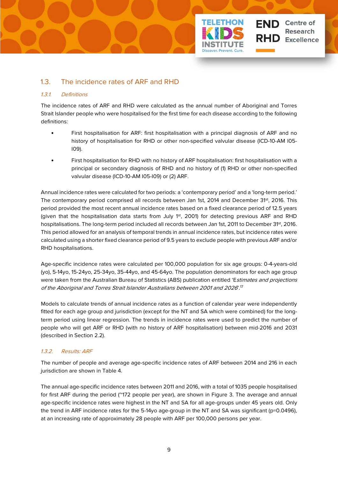

### <span id="page-13-0"></span>1.3. The incidence rates of ARF and RHD

### <span id="page-13-1"></span>1.3.1. Definitions

The incidence rates of ARF and RHD were calculated as the annual number of Aboriginal and Torres Strait Islander people who were hospitalised for the first time for each disease according to the following definitions:

• First hospitalisation for ARF: first hospitalisation with a principal diagnosis of ARF and no history of hospitalisation for RHD or other non-specified valvular disease (ICD-10-AM I05- I09).

**Centre of Research Excellence** 

• First hospitalisation for RHD with no history of ARF hospitalisation: first hospitalisation with a principal or secondary diagnosis of RHD and no history of (1) RHD or other non-specified valvular disease (ICD-10-AM I05-I09) or (2) ARF.

Annual incidence rates were calculated for two periods: a 'contemporary period' and a 'long-term period.' The contemporary period comprised all records between Jan 1st, 2014 and December 31<sup>st</sup>, 2016. This period provided the most recent annual incidence rates based on a fixed clearance period of 12.5 years (given that the hospitalisation data starts from July 1<sup>st</sup>, 2001) for detecting previous ARF and RHD hospitalisations. The long-term period included all records between Jan 1st, 2011 to December 31<sup>st</sup>, 2016. This period allowed for an analysis of temporal trends in annual incidence rates, but incidence rates were calculated using a shorter fixed clearance period of 9.5 years to exclude people with previous ARF and/or RHD hospitalisations.

Age-specific incidence rates were calculated per 100,000 population for six age groups: 0-4-years-old (yo), 5-14yo, 15-24yo, 25-34yo, 35-44yo, and 45-64yo. The population denominators for each age group were taken from the Australian Bureau of Statistics (ABS) publication entitled 'Estimates and projections of the Aboriginal and Torres Strait Islander Australians between 2001 and 2026'. 17

Models to calculate trends of annual incidence rates as a function of calendar year were independently fitted for each age group and jurisdiction (except for the NT and SA which were combined) for the longterm period using linear regression. The trends in incidence rates were used to predict the number of people who will get ARF or RHD (with no history of ARF hospitalisation) between mid-2016 and 2031 (described in Section 2.2).

### <span id="page-13-2"></span>1.3.2. Results: ARF

The number of people and average age-specific incidence rates of ARF between 2014 and 216 in each jurisdiction are shown in Table 4.

The annual age-specific incidence rates between 2011 and 2016, with a total of 1035 people hospitalised for first ARF during the period (~172 people per year), are shown in Figure 3. The average and annual age-specific incidence rates were highest in the NT and SA for all age-groups under 45 years old. Only the trend in ARF incidence rates for the 5-14yo age-group in the NT and SA was significant (p=0.0496), at an increasing rate of approximately 28 people with ARF per 100,000 persons per year.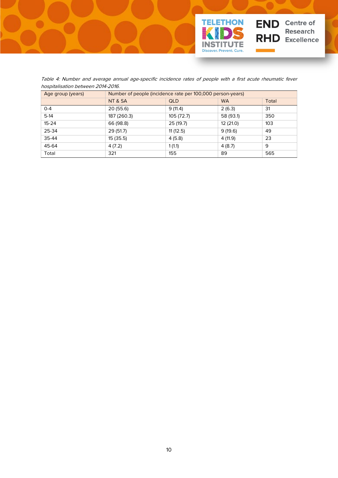

<span id="page-14-0"></span>Table 4: Number and average annual age-specific incidence rates of people with a first acute rheumatic fever hospitalisation between 2014-2016.

| Age group (years) | Number of people (incidence rate per 100,000 person-years) |            |           |       |  |  |
|-------------------|------------------------------------------------------------|------------|-----------|-------|--|--|
|                   | NT & SA                                                    | <b>QLD</b> | <b>WA</b> | Total |  |  |
| $0 - 4$           | 20 (55.6)                                                  | 9(11.4)    | 2(6.3)    | 31    |  |  |
| $5-14$            | 187 (260.3)                                                | 105 (72.7) | 58 (93.1) | 350   |  |  |
| $15 - 24$         | 66 (98.8)                                                  | 25(19.7)   | 12 (21.0) | 103   |  |  |
| 25-34             | 29(51.7)                                                   | 11(12.5)   | 9(19.6)   | 49    |  |  |
| 35-44             | 15 (35.5)                                                  | 4(5.8)     | 4 (11.9)  | 23    |  |  |
| 45-64             | 4(7.2)                                                     | 1(1.1)     | 4(8.7)    | 9     |  |  |
| Total             | 321                                                        | 155        | 89        | 565   |  |  |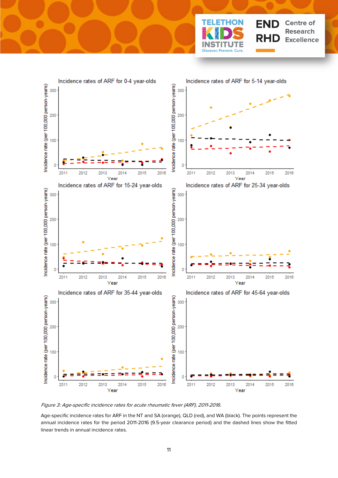



<span id="page-15-0"></span>Figure 3: Age-specific incidence rates for acute rheumatic fever (ARF), 2011-2016.

Age-specific incidence rates for ARF in the NT and SA (orange), QLD (red), and WA (black). The points represent the annual incidence rates for the period 2011-2016 (9.5-year clearance period) and the dashed lines show the fitted linear trends in annual incidence rates.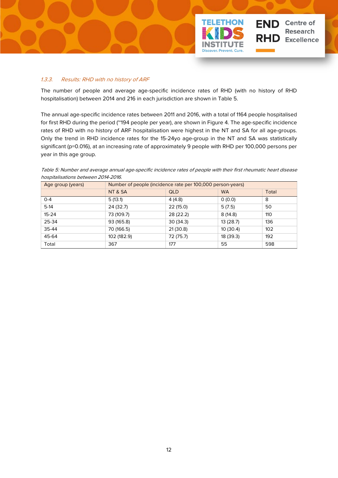

### <span id="page-16-0"></span>1.3.3. Results: RHD with no history of ARF

The number of people and average age-specific incidence rates of RHD (with no history of RHD hospitalisation) between 2014 and 216 in each jurisdiction are shown in Table 5.

The annual age-specific incidence rates between 2011 and 2016, with a total of 1164 people hospitalised for first RHD during the period (~194 people per year), are shown in Figure 4. The age-specific incidence rates of RHD with no history of ARF hospitalisation were highest in the NT and SA for all age-groups. Only the trend in RHD incidence rates for the 15-24yo age-group in the NT and SA was statistically significant (p=0.016), at an increasing rate of approximately 9 people with RHD per 100,000 persons per year in this age group.

<span id="page-16-1"></span>Table 5: Number and average annual age-specific incidence rates of people with their first rheumatic heart disease hospitalisations between 2014-2016.

| Age group (years) | Number of people (incidence rate per 100,000 person-years) |            |           |       |  |  |
|-------------------|------------------------------------------------------------|------------|-----------|-------|--|--|
|                   | NT & SA                                                    | <b>QLD</b> | <b>WA</b> | Total |  |  |
| $0 - 4$           | 5(13.1)                                                    | 4(4.8)     | 0(0.0)    | 8     |  |  |
| $5-14$            | 24 (32.7)                                                  | 22 (15.0)  | 5(7.5)    | 50    |  |  |
| $15 - 24$         | 73 (109.7)                                                 | 28 (22.2)  | 8(14.8)   | 110   |  |  |
| 25-34             | 93 (165.8)                                                 | 30(34.3)   | 13 (28.7) | 136   |  |  |
| 35-44             | 70 (166.5)                                                 | 21(30.8)   | 10(30.4)  | 102   |  |  |
| 45-64             | 102 (182.9)                                                | 72 (75.7)  | 18 (39.3) | 192   |  |  |
| Total             | 367                                                        | 177        | 55        | 598   |  |  |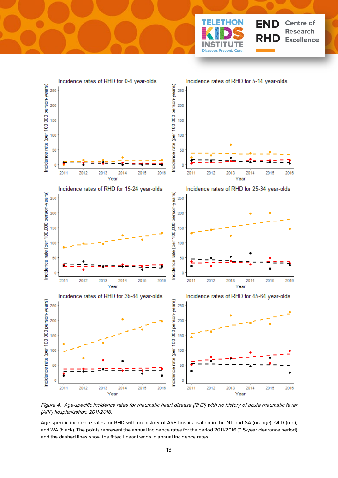



<span id="page-17-0"></span>Figure 4: Age-specific incidence rates for rheumatic heart disease (RHD) with no history of acute rheumatic fever (ARF) hospitalisation, 2011-2016.

Age-specific incidence rates for RHD with no history of ARF hospitalisation in the NT and SA (orange), QLD (red), and WA (black). The points represent the annual incidence rates for the period 2011-2016 (9.5-year clearance period) and the dashed lines show the fitted linear trends in annual incidence rates.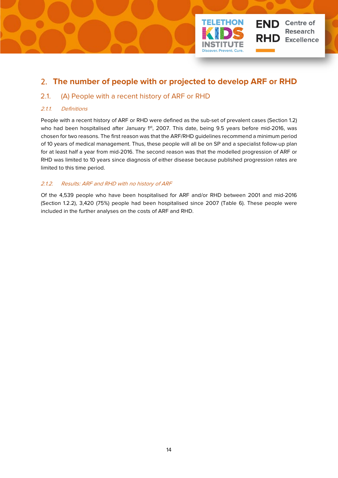

## <span id="page-18-0"></span>2. **The number of people with or projected to develop ARF or RHD**

### <span id="page-18-1"></span>2.1. (A) People with a recent history of ARF or RHD

### <span id="page-18-2"></span>2.1.1. Definitions

People with a recent history of ARF or RHD were defined as the sub-set of prevalent cases (Section 1.2) who had been hospitalised after January 1st, 2007. This date, being 9.5 years before mid-2016, was chosen for two reasons. The first reason was that the ARF/RHD guidelines recommend a minimum period of 10 years of medical management. Thus, these people will all be on SP and a specialist follow-up plan for at least half a year from mid-2016. The second reason was that the modelled progression of ARF or RHD was limited to 10 years since diagnosis of either disease because published progression rates are limited to this time period.

### <span id="page-18-3"></span>2.1.2. Results: ARF and RHD with no history of ARF

Of the 4,539 people who have been hospitalised for ARF and/or RHD between 2001 and mid-2016 (Section 1.2.2), 3,420 (75%) people had been hospitalised since 2007 (Table 6). These people were included in the further analyses on the costs of ARF and RHD.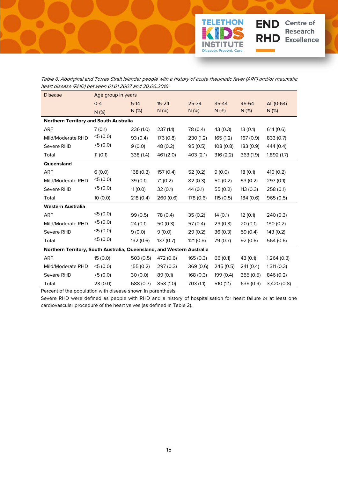

<span id="page-19-0"></span>Table 6: Aboriginal and Torres Strait Islander people with a history of acute rheumatic fever (ARF) and/or rheumatic heart disease (RHD) between 01.01.2007 and 30.06.2016

| <b>Disease</b>                                                         | Age group in years |           |           |           |           |           |             |
|------------------------------------------------------------------------|--------------------|-----------|-----------|-----------|-----------|-----------|-------------|
|                                                                        | $0 - 4$            | $5-14$    | $15 - 24$ | 25-34     | 35-44     | 45-64     | All (0-64)  |
|                                                                        | N(%)               | $N$ (%)   | N(%)      | N(%)      | N(%)      | N(%)      | N(%)        |
| Northern Territory and South Australia                                 |                    |           |           |           |           |           |             |
| <b>ARF</b>                                                             | 7(0.1)             | 236 (1.0) | 237(1.1)  | 78 (0.4)  | 43 (0.3)  | 13(0.1)   | 614(0.6)    |
| Mild/Moderate RHD                                                      | 5(0.0)             | 93(0.4)   | 176 (0.8) | 230(1.2)  | 165(1.2)  | 167 (0.9) | 833 (0.7)   |
| Severe RHD                                                             | 5(0.0)             | 9(0.0)    | 48 (0.2)  | 95(0.5)   | 108(0.8)  | 183 (0.9) | 444 (0.4)   |
| Total                                                                  | 11(0.1)            | 338 (1.4) | 461 (2.0) | 403(2.1)  | 316(2.2)  | 363(1.9)  | 1,892(1.7)  |
| Queensland                                                             |                    |           |           |           |           |           |             |
| <b>ARF</b>                                                             | 6(0.0)             | 168(0.3)  | 157 (0.4) | 52(0.2)   | 9(0.0)    | 18(0.1)   | 410 (0.2)   |
| Mild/Moderate RHD                                                      | 5(0.0)             | 39(0.1)   | 71(0.2)   | 82(0.3)   | 50(0.2)   | 53(0.2)   | 297 (0.1)   |
| Severe RHD                                                             | 5(0.0)             | 11(0.0)   | 32(0.1)   | 44 (0.1)  | 55(0.2)   | 113(0.3)  | 258 (0.1)   |
| Total                                                                  | 10(0.0)            | 218 (0.4) | 260 (0.6) | 178 (0.6) | 115 (0.5) | 184 (0.6) | 965 (0.5)   |
| <b>Western Australia</b>                                               |                    |           |           |           |           |           |             |
| <b>ARF</b>                                                             | 5(0.0)             | 99 (0.5)  | 78 (0.4)  | 35(0.2)   | 14(0.1)   | 12(0.1)   | 240 (0.3)   |
| Mild/Moderate RHD                                                      | 5(0.0)             | 24(0.1)   | 50(0.3)   | 57 (0.4)  | 29(0.3)   | 20(0.1)   | 180 (0.2)   |
| Severe RHD                                                             | 5(0.0)             | 9(0.0)    | 9(0.0)    | 29(0.2)   | 36(0.3)   | 59 (0.4)  | 143 (0.2)   |
| Total                                                                  | 5(0.0)             | 132 (0.6) | 137(0.7)  | 121(0.8)  | 79 (0.7)  | 92(0.6)   | 564 (0.6)   |
| Northern Territory, South Australia, Queensland, and Western Australia |                    |           |           |           |           |           |             |
| <b>ARF</b>                                                             | 15 (0.0)           | 503(0.5)  | 472 (0.6) | 165 (0.3) | 66 (0.1)  | 43 (0.1)  | 1,264(0.3)  |
| Mild/Moderate RHD                                                      | 5(0.0)             | 155(0.2)  | 297(0.3)  | 369 (0.6) | 245(0.5)  | 241(0.4)  | 1,311(0.3)  |
| Severe RHD                                                             | 5(0.0)             | 30(0.0)   | 89(0.1)   | 168(0.3)  | 199 (0.4) | 355(0.5)  | 846 (0.2)   |
| Total                                                                  | 23(0.0)            | 688 (0.7) | 858 (1.0) | 703 (1.1) | 510(1.1)  | 638 (0.9) | 3,420 (0.8) |

Percent of the population with disease shown in parenthesis.

Severe RHD were defined as people with RHD and a history of hospitalisation for heart failure or at least one cardiovascular procedure of the heart valves (as defined in Table 2).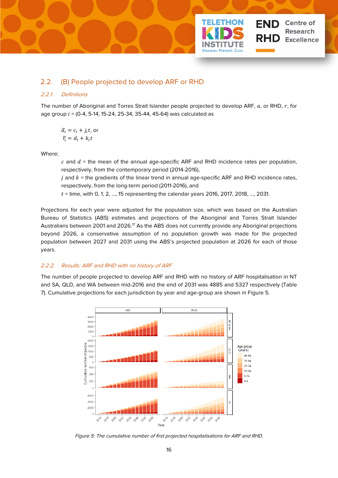

### <span id="page-20-0"></span>2.2. (B) People projected to develop ARF or RHD

### <span id="page-20-1"></span>2.2.1. Definitions

The number of Aboriginal and Torres Strait Islander people projected to develop ARF,  $a$ , or RHD,  $r$ , for age group  $i = (0-4, 5-14, 15-24, 25-34, 35-44, 45-64)$  was calculated as

$$
\widetilde{a_i} = c_i + j_i t, \text{ or}
$$

$$
\widetilde{r_i} = d_i + k_i t
$$

Where;

 $c$  and  $d$  = the mean of the annual age-specific ARF and RHD incidence rates per population, respectively, from the contemporary period (2014-2016),

 $j$  and  $k$  = the gradients of the linear trend in annual age-specific ARF and RHD incidence rates, respectively, from the long-term period (2011-2016), and

 $t =$  time, with 0, 1, 2, ..., 15 representing the calendar years 2016, 2017, 2018, ..., 2031.

Projections for each year were adjusted for the population size, which was based on the Australian Bureau of Statistics (ABS) estimates and projections of the Aboriginal and Torres Strait Islander Australians between 2001 and 2026.<sup>17</sup> As the ABS does not currently provide any Aboriginal projections beyond 2026, a conservative assumption of no population growth was made for the projected population between 2027 and 2031 using the ABS's projected population at 2026 for each of those years.

### <span id="page-20-2"></span>2.2.2. Results: ARF and RHD with no history of ARF

The number of people projected to develop ARF and RHD with no history of ARF hospitalisation in NT and SA, QLD, and WA between mid-2016 and the end of 2031 was 4885 and 5327 respectively (Table 7). Cumulative projections for each jurisdiction by year and age-group are shown in Figure 5.



<span id="page-20-3"></span>Figure 5: The cumulative number of first projected hospitalisations for ARF and RHD.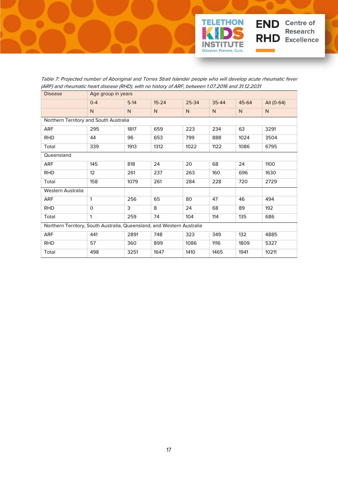

Table 7: Projected number of Aboriginal and Torres Strait Islander people who will develop acute rheumatic fever (ARF) and rheumatic heart disease (RHD), with no history of ARF, between 1.07.2016 and 31.12.2031

<span id="page-21-0"></span>

| <b>Disease</b>                                                         | Age group in years |        |           |       |       |       |            |
|------------------------------------------------------------------------|--------------------|--------|-----------|-------|-------|-------|------------|
|                                                                        | $0 - 4$            | $5-14$ | $15 - 24$ | 25-34 | 35-44 | 45-64 | All (0-64) |
|                                                                        | N                  | N      | N         | N     | N     | N     | N          |
| Northern Territory and South Australia                                 |                    |        |           |       |       |       |            |
| ARF                                                                    | 295                | 1817   | 659       | 223   | 234   | 63    | 3291       |
| RHD                                                                    | 44                 | 96     | 653       | 799   | 888   | 1024  | 3504       |
| Total                                                                  | 339                | 1913   | 1312      | 1022  | 1122  | 1086  | 6795       |
| Queensland                                                             |                    |        |           |       |       |       |            |
| ARF                                                                    | 145                | 818    | 24        | 20    | 68    | 24    | 1100       |
| <b>RHD</b>                                                             | 12                 | 261    | 237       | 263   | 160   | 696   | 1630       |
| Total                                                                  | 158                | 1079   | 261       | 284   | 228   | 720   | 2729       |
| Western Australia                                                      |                    |        |           |       |       |       |            |
| ARF                                                                    | 1                  | 256    | 65        | 80    | 47    | 46    | 494        |
| <b>RHD</b>                                                             | $\Omega$           | 3      | 8         | 24    | 68    | 89    | 192        |
| Total                                                                  | 1                  | 259    | 74        | 104   | 114   | 135   | 686        |
| Northern Territory, South Australia, Queensland, and Western Australia |                    |        |           |       |       |       |            |
| ARF                                                                    | 441                | 2891   | 748       | 323   | 349   | 132   | 4885       |
| <b>RHD</b>                                                             | 57                 | 360    | 899       | 1086  | 1116  | 1809  | 5327       |
| Total                                                                  | 498                | 3251   | 1647      | 1410  | 1465  | 1941  | 10211      |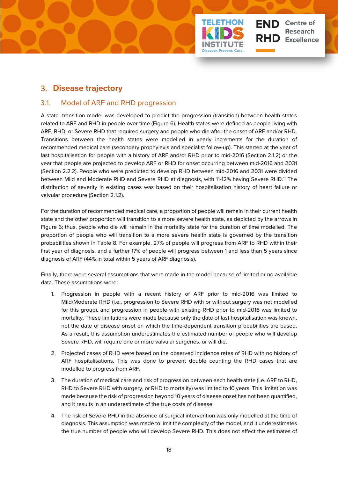

## <span id="page-22-0"></span>3. **Disease trajectory**

### <span id="page-22-1"></span>3.1. Model of ARF and RHD progression

A state–transition model was developed to predict the progression (transition) between health states related to ARF and RHD in people over time (Figure 6). Health states were defined as people living with ARF, RHD, or Severe RHD that required surgery and people who die after the onset of ARF and/or RHD. Transitions between the health states were modelled in yearly increments for the duration of recommended medical care (secondary prophylaxis and specialist follow-up). This started at the year of last hospitalisation for people with a history of ARF and/or RHD prior to mid-2016 (Section 2.1.2) or the year that people are projected to develop ARF or RHD for onset occurring between mid-2016 and 2031 (Section 2.2.2). People who were predicted to develop RHD between mid-2016 and 2031 were divided between Mild and Moderate RHD and Severe RHD at diagnosis, with 11-12% having Severe RHD.<sup>11</sup> The distribution of severity in existing cases was based on their hospitalisation history of heart failure or valvular procedure (Section 2.1.2).

For the duration of recommended medical care, a proportion of people will remain in their current health state and the other proportion will transition to a more severe health state, as depicted by the arrows in Figure 6; thus, people who die will remain in the mortality state for the duration of time modelled. The proportion of people who will transition to a more severe health state is governed by the transition probabilities shown in Table 8. For example, 27% of people will progress from ARF to RHD within their first year of diagnosis, and a further 17% of people will progress between 1 and less than 5 years since diagnosis of ARF (44% in total within 5 years of ARF diagnosis).

Finally, there were several assumptions that were made in the model because of limited or no available data. These assumptions were:

- 1. Progression in people with a recent history of ARF prior to mid-2016 was limited to Mild/Moderate RHD (i.e., progression to Severe RHD with or without surgery was not modelled for this group), and progression in people with existing RHD prior to mid-2016 was limited to mortality. These limitations were made because only the date of last hospitalisation was known, not the date of disease onset on which the time-dependent transition probabilities are based. As a result, this assumption underestimates the estimated number of people who will develop Severe RHD, will require one or more valvular surgeries, or will die.
- 2. Projected cases of RHD were based on the observed incidence rates of RHD with no history of ARF hospitalisations. This was done to prevent double counting the RHD cases that are modelled to progress from ARF.
- 3. The duration of medical care and risk of progression between each health state (i.e. ARF to RHD, RHD to Severe RHD with surgery, or RHD to mortality) was limited to 10 years. This limitation was made because the risk of progression beyond 10 years of disease onset has not been quantified, and it results in an underestimate of the true costs of disease.
- 4. The risk of Severe RHD in the absence of surgical intervention was only modelled at the time of diagnosis. This assumption was made to limit the complexity of the model, and it underestimates the true number of people who will develop Severe RHD. This does not affect the estimates of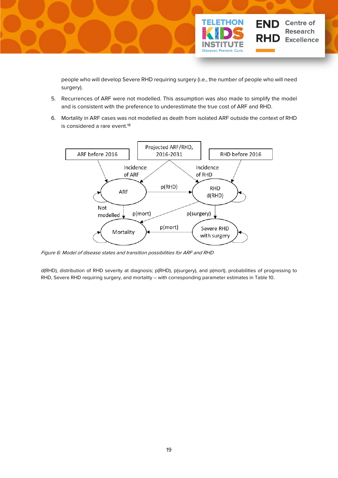

people who will develop Severe RHD requiring surgery (i.e., the number of people who will need surgery).

- 5. Recurrences of ARF were not modelled. This assumption was also made to simplify the model and is consistent with the preference to underestimate the true cost of ARF and RHD.
- 6. Mortality in ARF cases was not modelled as death from isolated ARF outside the context of RHD is considered a rare event.<sup>18</sup>



<span id="page-23-0"></span>Figure 6: Model of disease states and transition possibilities for ARF and RHD

d(RHD), distribution of RHD severity at diagnosis; p(RHD), p(surgery), and p(mort), probabilities of progressing to RHD, Severe RHD requiring surgery, and mortality – with corresponding parameter estimates in Table 10.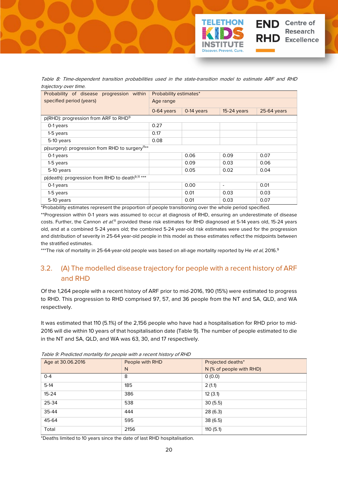

<span id="page-24-1"></span>Table 8: Time-dependent transition probabilities used in the state-transition model to estimate ARF and RHD trajectory over time.

| Probability of disease progression within                   | Probability estimates*                                      |            |                          |               |  |  |
|-------------------------------------------------------------|-------------------------------------------------------------|------------|--------------------------|---------------|--|--|
| specified period (years)                                    | Age range                                                   |            |                          |               |  |  |
|                                                             | 0-64 years                                                  | 0-14 years | $15-24$ years            | $25-64$ years |  |  |
| p(RHD): progression from ARF to RHD <sup>9</sup>            |                                                             |            |                          |               |  |  |
| 0-1 years                                                   | 0.27                                                        |            |                          |               |  |  |
| 1-5 years                                                   | 0.17                                                        |            |                          |               |  |  |
| 5-10 years                                                  | 0.08                                                        |            |                          |               |  |  |
|                                                             | p(surgery): progression from RHD to surgery <sup>11**</sup> |            |                          |               |  |  |
| 0-1 years                                                   |                                                             | 0.06       | 0.09                     | 0.07          |  |  |
| 1-5 years                                                   |                                                             | 0.09       | 0.03                     | 0.06          |  |  |
| 5-10 years                                                  |                                                             | 0.05       | 0.02                     | 0.04          |  |  |
| p(death): progression from RHD to death <sup>9,11</sup> *** |                                                             |            |                          |               |  |  |
| 0-1 years                                                   |                                                             | 0.00       | $\overline{\phantom{a}}$ | 0.01          |  |  |
| 1-5 years                                                   |                                                             | 0.01       | 0.03                     | 0.03          |  |  |
| 5-10 years                                                  |                                                             | 0.01       | 0.03                     | 0.07          |  |  |

\*Probability estimates represent the proportion of people transitioning over the whole period specified.

\*\*Progression within 0-1 years was assumed to occur at diagnosis of RHD, ensuring an underestimate of disease costs. Further, the Cannon et al.<sup>11</sup> provided these risk estimates for RHD diagnosed at 5-14 years old, 15-24 years old, and at a combined 5-24 years old; the combined 5-24 year-old risk estimates were used for the progression and distribution of severity in 25-64 year-old people in this model as these estimates reflect the midpoints between the stratified estimates.

\*\*\*The risk of mortality in 25-64-year-old people was based on all-age mortality reported by He *et al*, 2016.<sup>9</sup>

## <span id="page-24-0"></span>3.2. (A) The modelled disease trajectory for people with a recent history of ARF and RHD

Of the 1,264 people with a recent history of ARF prior to mid-2016, 190 (15%) were estimated to progress to RHD. This progression to RHD comprised 97, 57, and 36 people from the NT and SA, QLD, and WA respectively.

It was estimated that 110 (5.1%) of the 2,156 people who have had a hospitalisation for RHD prior to mid-2016 will die within 10 years of that hospitalisation date (Table 9). The number of people estimated to die in the NT and SA, QLD, and WA was 63, 30, and 17 respectively.

| Age at 30.06.2016 | People with RHD | Projected deaths*        |  |  |
|-------------------|-----------------|--------------------------|--|--|
|                   | N               | N (% of people with RHD) |  |  |
| $O - 4$           | 8               | 0(0.0)                   |  |  |
| $5-14$            | 185             | 2(1.1)                   |  |  |
| $15 - 24$         | 386             | 12(3.1)                  |  |  |
| 25-34             | 538             | 30(5.5)                  |  |  |
| 35-44             | 444             | 28(6.3)                  |  |  |
| 45-64             | 595             | 38(6.5)                  |  |  |
| Total             | 2156            | 110(5.1)                 |  |  |

<span id="page-24-2"></span>Table 9: Predicted mortality for people with a recent history of RHD

\*Deaths limited to 10 years since the date of last RHD hospitalisation.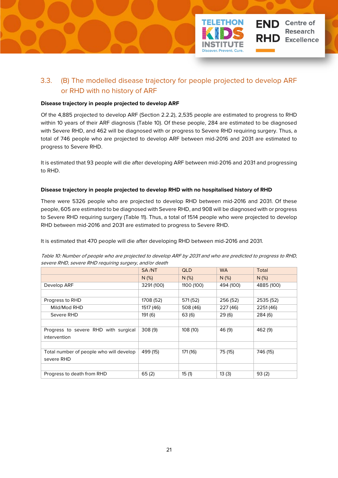

## <span id="page-25-0"></span>3.3. (B) The modelled disease trajectory for people projected to develop ARF or RHD with no history of ARF

#### **Disease trajectory in people projected to develop ARF**

Of the 4,885 projected to develop ARF (Section 2.2.2), 2,535 people are estimated to progress to RHD within 10 years of their ARF diagnosis (Table 10). Of these people, 284 are estimated to be diagnosed with Severe RHD, and 462 will be diagnosed with or progress to Severe RHD requiring surgery. Thus, a total of 746 people who are projected to develop ARF between mid-2016 and 2031 are estimated to progress to Severe RHD.

It is estimated that 93 people will die after developing ARF between mid-2016 and 2031 and progressing to RHD.

### **Disease trajectory in people projected to develop RHD with no hospitalised history of RHD**

There were 5326 people who are projected to develop RHD between mid-2016 and 2031. Of these people, 605 are estimated to be diagnosed with Severe RHD, and 908 will be diagnosed with or progress to Severe RHD requiring surgery (Table 11). Thus, a total of 1514 people who were projected to develop RHD between mid-2016 and 2031 are estimated to progress to Severe RHD.

It is estimated that 470 people will die after developing RHD between mid-2016 and 2031.

<span id="page-25-1"></span>

| Table 10: Number of people who are projected to develop ARF by 2031 and who are predicted to progress to RHD, |  |
|---------------------------------------------------------------------------------------------------------------|--|
| severe RHD, severe RHD requiring surgery, and/or death                                                        |  |

|                                         | SA/NT      | <b>QLD</b> | <b>WA</b> | Total      |
|-----------------------------------------|------------|------------|-----------|------------|
|                                         | N(%)       | $N$ (%)    | $N$ (%)   | $N$ (%)    |
| Develop ARF                             | 3291 (100) | 1100 (100) | 494 (100) | 4885 (100) |
|                                         |            |            |           |            |
| Progress to RHD                         | 1708 (52)  | 571 (52)   | 256 (52)  | 2535 (52)  |
| Mild/Mod RHD                            | 1517 (46)  | 508 (46)   | 227 (46)  | 2251 (46)  |
| Severe RHD                              | 191 (6)    | 63(6)      | 29(6)     | 284 (6)    |
|                                         |            |            |           |            |
| Progress to severe RHD with surgical    | 308(9)     | 108 (10)   | 46 (9)    | 462 (9)    |
| intervention                            |            |            |           |            |
|                                         |            |            |           |            |
| Total number of people who will develop | 499 (15)   | 171 (16)   | 75 (15)   | 746 (15)   |
| severe RHD                              |            |            |           |            |
|                                         |            |            |           |            |
| Progress to death from RHD              | 65(2)      | 15(1)      | 13(3)     | 93(2)      |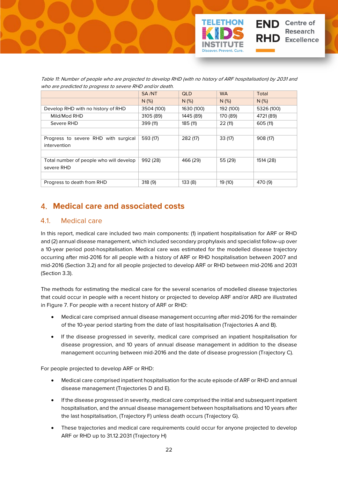

<span id="page-26-2"></span>

| who are predicted to progress to severe RHD and/or death.                                                        |  |  |  |  |  |  |  |
|------------------------------------------------------------------------------------------------------------------|--|--|--|--|--|--|--|
| Table 11: Number of people who are projected to develop RHD (with no history of ARF hospitalisation) by 2031 and |  |  |  |  |  |  |  |

|                                         | SA/NT      | <b>QLD</b> | <b>WA</b> | Total      |
|-----------------------------------------|------------|------------|-----------|------------|
|                                         | $N$ (%)    | $N$ (%)    | $N$ (%)   | $N$ (%)    |
| Develop RHD with no history of RHD      | 3504 (100) | 1630 (100) | 192 (100) | 5326 (100) |
| Mild/Mod RHD                            | 3105 (89)  | 1445 (89)  | 170 (89)  | 4721 (89)  |
| Severe RHD                              | 399 (11)   | 185 (11)   | 22(11)    | 605 (11)   |
|                                         |            |            |           |            |
| Progress to severe RHD with surgical    | 593 (17)   | 282 (17)   | 33(17)    | 908 (17)   |
| intervention                            |            |            |           |            |
|                                         |            |            |           |            |
| Total number of people who will develop | 992 (28)   | 466 (29)   | 55 (29)   | 1514 (28)  |
| severe RHD                              |            |            |           |            |
|                                         |            |            |           |            |
| Progress to death from RHD              | 318(9)     | 133(8)     | 19 (10)   | 470 (9)    |

## <span id="page-26-0"></span>4. **Medical care and associated costs**

## <span id="page-26-1"></span>4.1. Medical care

In this report, medical care included two main components: (1) inpatient hospitalisation for ARF or RHD and (2) annual disease management, which included secondary prophylaxis and specialist follow-up over a 10-year period post-hospitalisation. Medical care was estimated for the modelled disease trajectory occurring after mid-2016 for all people with a history of ARF or RHD hospitalisation between 2007 and mid-2016 (Section 3.2) and for all people projected to develop ARF or RHD between mid-2016 and 2031 (Section 3.3).

The methods for estimating the medical care for the several scenarios of modelled disease trajectories that could occur in people with a recent history or projected to develop ARF and/or ARD are illustrated in Figure 7. For people with a recent history of ARF or RHD:

- Medical care comprised annual disease management occurring after mid-2016 for the remainder of the 10-year period starting from the date of last hospitalisation (Trajectories A and B).
- If the disease progressed in severity, medical care comprised an inpatient hospitalisation for disease progression, and 10 years of annual disease management in addition to the disease management occurring between mid-2016 and the date of disease progression (Trajectory C).

For people projected to develop ARF or RHD:

- Medical care comprised inpatient hospitalisation for the acute episode of ARF or RHD and annual disease management (Trajectories D and E).
- If the disease progressed in severity, medical care comprised the initial and subsequent inpatient hospitalisation, and the annual disease management between hospitalisations and 10 years after the last hospitalisation, (Trajectory F) unless death occurs (Trajectory G).
- These trajectories and medical care requirements could occur for anyone projected to develop ARF or RHD up to 31.12.2031 (Trajectory H)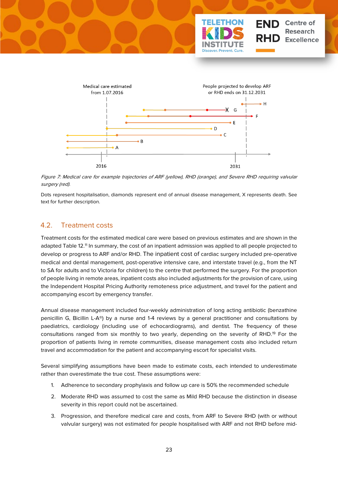



<span id="page-27-1"></span>Figure 7: Medical care for example trajectories of ARF (yellow), RHD (orange), and Severe RHD requiring valvular surgery (red).

Dots represent hospitalisation, diamonds represent end of annual disease management, X represents death. See text for further description.

### <span id="page-27-0"></span>4.2. Treatment costs

Treatment costs for the estimated medical care were based on previous estimates and are shown in the adapted Table 12. <sup>11</sup> In summary, the cost of an inpatient admission was applied to all people projected to develop or progress to ARF and/or RHD. The inpatient cost of cardiac surgery included pre-operative medical and dental management, post-operative intensive care, and interstate travel (e.g., from the NT to SA for adults and to Victoria for children) to the centre that performed the surgery. For the proportion of people living in remote areas, inpatient costs also included adjustments for the provision of care, using the Independent Hospital Pricing Authority remoteness price adjustment, and travel for the patient and accompanying escort by emergency transfer.

Annual disease management included four-weekly administration of long acting antibiotic (benzathine penicillin G, Bicillin L-A®) by a nurse and 1-4 reviews by a general practitioner and consultations by paediatrics, cardiology (including use of echocardiograms), and dentist. The frequency of these consultations ranged from six monthly to two yearly, depending on the severity of RHD.19 For the proportion of patients living in remote communities, disease management costs also included return travel and accommodation for the patient and accompanying escort for specialist visits.

Several simplifying assumptions have been made to estimate costs, each intended to underestimate rather than overestimate the true cost. These assumptions were:

- 1. Adherence to secondary prophylaxis and follow up care is 50% the recommended schedule
- 2. Moderate RHD was assumed to cost the same as Mild RHD because the distinction in disease severity in this report could not be ascertained.
- 3. Progression, and therefore medical care and costs, from ARF to Severe RHD (with or without valvular surgery) was not estimated for people hospitalised with ARF and not RHD before mid-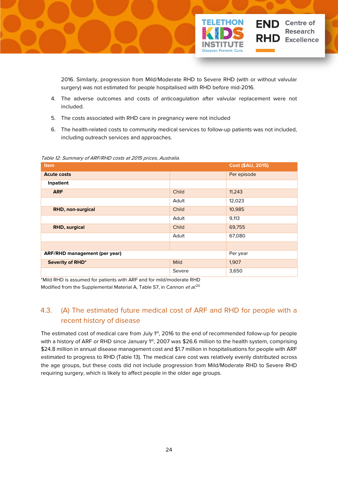

2016. Similarly, progression from Mild/Moderate RHD to Severe RHD (with or without valvular surgery) was not estimated for people hospitalised with RHD before mid-2016.

- 4. The adverse outcomes and costs of anticoagulation after valvular replacement were not included.
- 5. The costs associated with RHD care in pregnancy were not included
- 6. The health-related costs to community medical services to follow-up patients was not included, including outreach services and approaches.

| <b>Item</b>                          |             | Cost (\$AU, 2015) |
|--------------------------------------|-------------|-------------------|
| <b>Acute costs</b>                   |             | Per episode       |
| Inpatient                            |             |                   |
| <b>ARF</b>                           | Child       | 11,243            |
|                                      | Adult       | 12,023            |
| RHD, non-surgical                    | Child       | 10,985            |
|                                      | Adult       | 9,113             |
| <b>RHD, surgical</b>                 | Child       | 69,755            |
|                                      | Adult       | 67,080            |
|                                      |             |                   |
| <b>ARF/RHD management (per year)</b> |             | Per year          |
| Severity of RHD*                     | <b>Mild</b> | 1,907             |
|                                      | Severe      | 3,650             |

<span id="page-28-1"></span>Table 12: Summary of ARF/RHD costs at 2015 prices, Australia.

\*Mild RHD is assumed for patients with ARF and for mild/moderate RHD Modified from the Supplemental Material A, Table S7, in Cannon *et al*.<sup>20</sup>

## <span id="page-28-0"></span>4.3. (A) The estimated future medical cost of ARF and RHD for people with a recent history of disease

The estimated cost of medical care from July 1<sup>st</sup>, 2016 to the end of recommended follow-up for people with a history of ARF or RHD since January 1st, 2007 was \$26.6 million to the health system, comprising \$24.8 million in annual disease management cost and \$1.7 million in hospitalisations for people with ARF estimated to progress to RHD (Table 13). The medical care cost was relatively evenly distributed across the age groups, but these costs did not include progression from Mild/Moderate RHD to Severe RHD requiring surgery, which is likely to affect people in the older age groups.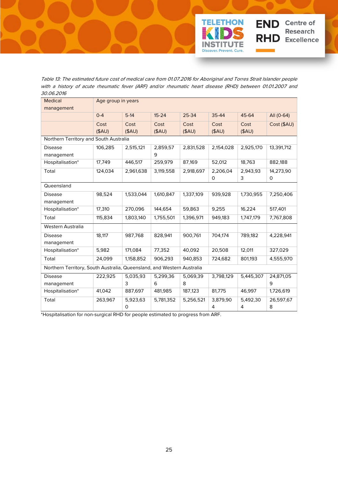

Table 13: The estimated future cost of medical care from 01.07.2016 for Aboriginal and Torres Strait Islander people with a history of acute rheumatic fever (ARF) and/or rheumatic heart disease (RHD) between 01.01.2007 and 30.06.2016

<span id="page-29-0"></span>

| <b>Medical</b>                                                         | Age group in years |           |           |           |           |           |             |
|------------------------------------------------------------------------|--------------------|-----------|-----------|-----------|-----------|-----------|-------------|
| management                                                             |                    |           |           |           |           |           |             |
|                                                                        | $0 - 4$            | $5-14$    | $15 - 24$ | 25-34     | 35-44     | 45-64     | All (0-64)  |
|                                                                        | Cost               | Cost      | Cost      | Cost      | Cost      | Cost      | Cost (\$AU) |
|                                                                        | (SAU)              | (SAU)     | $($ \$AU) | (SAU)     | (SAU)     | (SAU)     |             |
| Northern Territory and South Australia                                 |                    |           |           |           |           |           |             |
| <b>Disease</b>                                                         | 106,285            | 2,515,121 | 2,859,57  | 2,831,528 | 2,154,028 | 2,925,170 | 13,391,712  |
| management                                                             |                    |           | 9         |           |           |           |             |
| Hospitalisation*                                                       | 17,749             | 446,517   | 259,979   | 87,169    | 52,012    | 18,763    | 882,188     |
| Total                                                                  | 124,034            | 2,961,638 | 3,119,558 | 2,918,697 | 2,206,04  | 2,943,93  | 14,273,90   |
|                                                                        |                    |           |           |           | 0         | 3         | 0           |
| Queensland                                                             |                    |           |           |           |           |           |             |
| <b>Disease</b>                                                         | 98,524             | 1,533,044 | 1,610,847 | 1,337,109 | 939,928   | 1,730,955 | 7,250,406   |
| management                                                             |                    |           |           |           |           |           |             |
| Hospitalisation*                                                       | 17,310             | 270,096   | 144,654   | 59,863    | 9,255     | 16,224    | 517,401     |
| Total                                                                  | 115,834            | 1,803,140 | 1,755,501 | 1,396,971 | 949,183   | 1,747,179 | 7,767,808   |
| Western Australia                                                      |                    |           |           |           |           |           |             |
| <b>Disease</b>                                                         | 18,117             | 987,768   | 828,941   | 900,761   | 704,174   | 789,182   | 4,228,941   |
| management                                                             |                    |           |           |           |           |           |             |
| Hospitalisation*                                                       | 5,982              | 171,084   | 77,352    | 40,092    | 20,508    | 12,011    | 327,029     |
| Total                                                                  | 24,099             | 1,158,852 | 906,293   | 940,853   | 724,682   | 801,193   | 4,555,970   |
| Northern Territory, South Australia, Queensland, and Western Australia |                    |           |           |           |           |           |             |
| <b>Disease</b>                                                         | 222,925            | 5,035,93  | 5,299,36  | 5,069,39  | 3,798,129 | 5,445,307 | 24,871,05   |
| management                                                             |                    | 3         | 6         | 8         |           |           | 9           |
| Hospitalisation*                                                       | 41,042             | 887,697   | 481,985   | 187,123   | 81,775    | 46,997    | 1,726,619   |
| Total                                                                  | 263,967            | 5,923,63  | 5,781,352 | 5,256,521 | 3,879,90  | 5,492,30  | 26,597,67   |
|                                                                        |                    | 0         |           |           | 4         | 4         | 8           |

\*Hospitalisation for non-surgical RHD for people estimated to progress from ARF.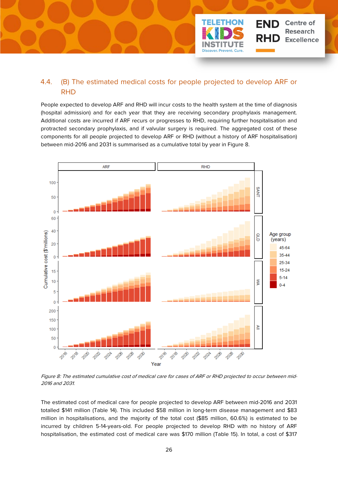

## <span id="page-30-0"></span>4.4. (B) The estimated medical costs for people projected to develop ARF or RHD

People expected to develop ARF and RHD will incur costs to the health system at the time of diagnosis (hospital admission) and for each year that they are receiving secondary prophylaxis management. Additional costs are incurred if ARF recurs or progresses to RHD, requiring further hospitalisation and protracted secondary prophylaxis, and if valvular surgery is required. The aggregated cost of these components for all people projected to develop ARF or RHD (without a history of ARF hospitalisation) between mid-2016 and 2031 is summarised as a cumulative total by year in Figure 8.



<span id="page-30-1"></span>Figure 8: The estimated cumulative cost of medical care for cases of ARF or RHD projected to occur between mid-2016 and 2031.

The estimated cost of medical care for people projected to develop ARF between mid-2016 and 2031 totalled \$141 million (Table 14). This included \$58 million in long-term disease management and \$83 million in hospitalisations, and the majority of the total cost (\$85 million, 60.6%) is estimated to be incurred by children 5-14-years-old. For people projected to develop RHD with no history of ARF hospitalisation, the estimated cost of medical care was \$170 million (Table 15). In total, a cost of \$317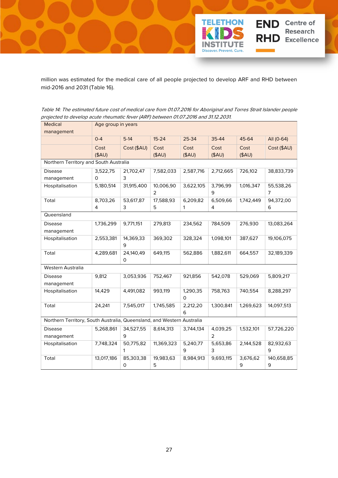

million was estimated for the medical care of all people projected to develop ARF and RHD between mid-2016 and 2031 (Table 16).

<span id="page-31-0"></span>Table 14: The estimated future cost of medical care from 01.07.2016 for Aboriginal and Torres Strait Islander people projected to develop acute rheumatic fever (ARF) between 01.07.2016 and 31.12.2031.

| <b>Medical</b>                                                         | Age group in years                     |             |                |                      |               |           |                |  |
|------------------------------------------------------------------------|----------------------------------------|-------------|----------------|----------------------|---------------|-----------|----------------|--|
| management                                                             |                                        |             |                |                      |               |           |                |  |
|                                                                        | $0 - 4$                                | $5-14$      | $15 - 24$      | 25-34                | 35-44         | 45-64     | All (0-64)     |  |
|                                                                        | Cost                                   | Cost (\$AU) | Cost           | Cost                 | Cost          | Cost      | Cost (\$AU)    |  |
|                                                                        | (SAU)                                  |             | (SAU)          | (SAU)                | (SAU)         | (SAU)     |                |  |
|                                                                        | Northern Territory and South Australia |             |                |                      |               |           |                |  |
| <b>Disease</b>                                                         | 3,522,75                               | 21,702,47   | 7,582,033      | 2,587,716            | 2,712,665     | 726,102   | 38,833,739     |  |
| management                                                             | 0                                      | 3           |                |                      |               |           |                |  |
| Hospitalisation                                                        | 5,180,514                              | 31,915,400  | 10,006,90<br>2 | 3,622,105            | 3,796,99<br>9 | 1,016,347 | 55,538,26<br>7 |  |
| Total                                                                  | 8,703,26                               | 53,617,87   | 17,588,93      | 6,209,82             | 6,509,66      | 1,742,449 | 94,372,00      |  |
|                                                                        | 4                                      | 3           | 5              | 1                    | 4             |           | 6              |  |
| Queensland                                                             |                                        |             |                |                      |               |           |                |  |
| <b>Disease</b>                                                         | 1,736,299                              | 9,771,151   | 279,813        | 234,562              | 784,509       | 276,930   | 13,083,264     |  |
| management                                                             |                                        |             |                |                      |               |           |                |  |
| Hospitalisation                                                        | 2,553,381                              | 14,369,33   | 369,302        | 328,324              | 1,098,101     | 387,627   | 19,106,075     |  |
|                                                                        |                                        | 9           |                |                      |               |           |                |  |
| Total                                                                  | 4,289,681                              | 24,140,49   | 649,115        | 562,886              | 1,882,611     | 664,557   | 32,189,339     |  |
| Western Australia                                                      |                                        | 0           |                |                      |               |           |                |  |
|                                                                        |                                        |             |                |                      |               |           |                |  |
| <b>Disease</b><br>management                                           | 9,812                                  | 3,053,936   | 752,467        | 921,856              | 542,078       | 529,069   | 5,809,217      |  |
| Hospitalisation                                                        | 14,429                                 | 4,491,082   | 993,119        | 1,290,35<br>$\Omega$ | 758,763       | 740,554   | 8,288,297      |  |
| Total                                                                  | 24,241                                 | 7,545,017   | 1,745,585      | 2,212,20             | 1,300,841     | 1,269,623 | 14,097,513     |  |
|                                                                        |                                        |             |                | 6                    |               |           |                |  |
| Northern Territory, South Australia, Queensland, and Western Australia |                                        |             |                |                      |               |           |                |  |
| <b>Disease</b>                                                         | 5,268,861                              | 34,527,55   | 8,614,313      | 3,744,134            | 4,039,25      | 1,532,101 | 57,726,220     |  |
| management                                                             |                                        | 9           |                |                      | 2             |           |                |  |
| Hospitalisation                                                        | 7,748,324                              | 50,775,82   | 11,369,323     | 5,240,77             | 5,653,86      | 2,144,528 | 82,932,63      |  |
|                                                                        |                                        | 1           |                | 9                    | 3             |           | 9              |  |
| Total                                                                  | 13,017,186                             | 85,303,38   | 19,983,63      | 8,984,913            | 9,693,115     | 3,676,62  | 140,658,85     |  |
|                                                                        |                                        | 0           | 5              |                      |               | 9         | 9              |  |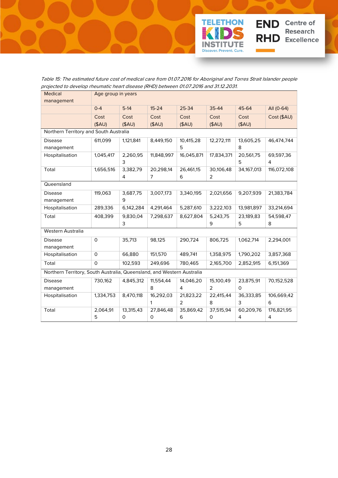

Table 15: The estimated future cost of medical care from 01.07.2016 for Aboriginal and Torres Strait Islander people projected to develop rheumatic heart disease (RHD) between 01.07.2016 and 31.12.2031.

<span id="page-32-0"></span>

| <b>Medical</b>                                                         | Age group in years |           |                |                |                |              |             |
|------------------------------------------------------------------------|--------------------|-----------|----------------|----------------|----------------|--------------|-------------|
| management                                                             |                    |           |                |                |                |              |             |
|                                                                        | $0 - 4$            | $5-14$    | $15 - 24$      | 25-34          | 35-44          | 45-64        | All (0-64)  |
|                                                                        | Cost               | Cost      | Cost           | Cost           | Cost           | Cost         | Cost (\$AU) |
|                                                                        | $($ \$AU)          | (SAU)     | $($ \$AU)      | $($ \$AU)      | $($ \$AU $)$   | (SAU)        |             |
| Northern Territory and South Australia                                 |                    |           |                |                |                |              |             |
| <b>Disease</b>                                                         | 611,099            | 1,121,841 | 8,449,150      | 10,415,28      | 12,272,111     | 13,605,25    | 46,474,744  |
| management                                                             |                    |           |                | 5              |                | 8            |             |
| Hospitalisation                                                        | 1,045,417          | 2,260,95  | 11,848,997     | 16,045,871     | 17,834,371     | 20,561,75    | 69,597,36   |
|                                                                        |                    | 3         |                |                |                | 5            | 4           |
| Total                                                                  | 1,656,516          | 3,382,79  | 20,298,14      | 26,461,15      | 30,106,48      | 34,167,013   | 116,072,108 |
|                                                                        |                    | 4         | $\overline{7}$ | 6              | $\overline{2}$ |              |             |
| Queensland                                                             |                    |           |                |                |                |              |             |
| <b>Disease</b>                                                         | 119,063            | 3,687,75  | 3,007,173      | 3,340,195      | 2,021,656      | 9,207,939    | 21,383,784  |
| management                                                             |                    | 9         |                |                |                |              |             |
| Hospitalisation                                                        | 289,336            | 6,142,284 | 4,291,464      | 5,287,610      | 3,222,103      | 13,981,897   | 33,214,694  |
| Total                                                                  | 408,399            | 9,830,04  | 7,298,637      | 8,627,804      | 5,243,75       | 23,189,83    | 54,598,47   |
|                                                                        |                    | 3         |                |                | 9              | 5            | 8           |
| Western Australia                                                      |                    |           |                |                |                |              |             |
| <b>Disease</b>                                                         | O                  | 35,713    | 98,125         | 290,724        | 806,725        | 1,062,714    | 2,294,001   |
| management                                                             |                    |           |                |                |                |              |             |
| Hospitalisation                                                        | 0                  | 66,880    | 151,570        | 489,741        | 1,358,975      | 1,790,202    | 3,857,368   |
| Total                                                                  | $\Omega$           | 102,593   | 249,696        | 780,465        | 2,165,700      | 2,852,915    | 6,151,369   |
| Northern Territory, South Australia, Queensland, and Western Australia |                    |           |                |                |                |              |             |
| <b>Disease</b>                                                         | 730,162            | 4,845,312 | 11,554,44      | 14,046,20      | 15,100,49      | 23,875,91    | 70,152,528  |
| management                                                             |                    |           | 8              | 4              | $\overline{2}$ | $\mathsf{O}$ |             |
| Hospitalisation                                                        | 1,334,753          | 8,470,118 | 16,292,03      | 21,823,22      | 22,415,44      | 36,333,85    | 106,669,42  |
|                                                                        |                    |           | 1              | $\overline{2}$ | 8              | 3            | 6           |
| Total                                                                  | 2,064,91           | 13,315,43 | 27,846,48      | 35,869,42      | 37,515,94      | 60,209,76    | 176,821,95  |
|                                                                        | 5                  | 0         | 0              | 6              | 0              | 4            | 4           |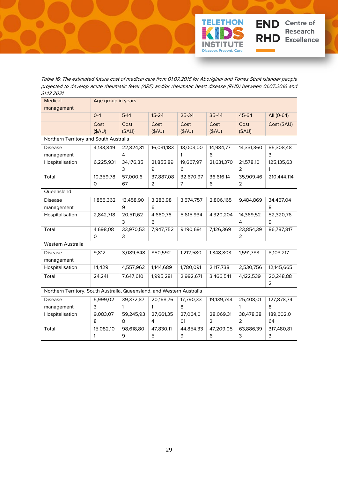

Table 16: The estimated future cost of medical care from 01.07.2016 for Aboriginal and Torres Strait Islander people projected to develop acute rheumatic fever (ARF) and/or rheumatic heart disease (RHD) between 01.07.2016 and 31.12.2031.

<span id="page-33-0"></span>

| <b>Medical</b>                                                         | Age group in years |           |            |           |            |            |             |
|------------------------------------------------------------------------|--------------------|-----------|------------|-----------|------------|------------|-------------|
| management                                                             |                    |           |            |           |            |            |             |
|                                                                        | $0 - 4$            | $5-14$    | $15 - 24$  | 25-34     | 35-44      | 45-64      | All (0-64)  |
|                                                                        | Cost               | Cost      | Cost       | Cost      | Cost       | Cost       | Cost (\$AU) |
|                                                                        | (SAU)              | (SAU)     | (SAU)      | (SAU)     | (SAU)      | (SAU)      |             |
| Northern Territory and South Australia                                 |                    |           |            |           |            |            |             |
| <b>Disease</b>                                                         | 4,133,849          | 22,824,31 | 16,031,183 | 13,003,00 | 14,984,77  | 14,331,360 | 85,308,48   |
| management                                                             |                    | 4         |            | 1         | 6          |            | 3           |
| Hospitalisation                                                        | 6,225,931          | 34,176,35 | 21,855,89  | 19,667,97 | 21,631,370 | 21,578,10  | 125,135,63  |
|                                                                        |                    | 3         | 9          | 6         |            | 2          | 1           |
| Total                                                                  | 10,359,78          | 57,000,6  | 37,887,08  | 32,670,97 | 36,616,14  | 35,909,46  | 210,444,114 |
|                                                                        | 0                  | 67        | 2          | 7         | 6          | 2          |             |
| Queensland                                                             |                    |           |            |           |            |            |             |
| <b>Disease</b>                                                         | 1,855,362          | 13,458,90 | 3,286,98   | 3,574,757 | 2,806,165  | 9,484,869  | 34,467,04   |
| management                                                             |                    | 9         | 6          |           |            |            | 8           |
| Hospitalisation                                                        | 2,842,718          | 20,511,62 | 4,660,76   | 5,615,934 | 4,320,204  | 14,369,52  | 52,320,76   |
|                                                                        |                    | 3         | 6          |           |            | 4          | 9           |
| Total                                                                  | 4,698,08           | 33,970,53 | 7,947,752  | 9,190,691 | 7,126,369  | 23,854,39  | 86,787,817  |
|                                                                        | 0                  | 3         |            |           |            | 2          |             |
| Western Australia                                                      |                    |           |            |           |            |            |             |
| <b>Disease</b>                                                         | 9,812              | 3,089,648 | 850,592    | 1,212,580 | 1,348,803  | 1,591,783  | 8,103,217   |
| management                                                             |                    |           |            |           |            |            |             |
| Hospitalisation                                                        | 14,429             | 4,557,962 | 1,144,689  | 1,780,091 | 2,117,738  | 2,530,756  | 12,145,665  |
| Total                                                                  | 24,241             | 7,647,610 | 1,995,281  | 2,992,671 | 3,466,541  | 4,122,539  | 20,248,88   |
|                                                                        |                    |           |            |           |            |            | 2           |
| Northern Territory, South Australia, Queensland, and Western Australia |                    |           |            |           |            |            |             |
| <b>Disease</b>                                                         | 5,999,02           | 39,372,87 | 20,168,76  | 17,790,33 | 19,139,744 | 25,408,01  | 127,878,74  |
| management                                                             | 3                  | 1         | 1          | 8         |            | 1          | 8           |
| Hospitalisation                                                        | 9,083,07           | 59,245,93 | 27,661,35  | 27,064,0  | 28,069,31  | 38,478,38  | 189,602,0   |
|                                                                        | 8                  | 8         | 4          | 01        | 2          | 2          | 64          |
| Total                                                                  | 15,082,10          | 98,618,80 | 47,830,11  | 44,854,33 | 47,209,05  | 63,886,39  | 317,480,81  |
|                                                                        | 1                  | 9         | 5          | 9         | 6          | 3          | 3           |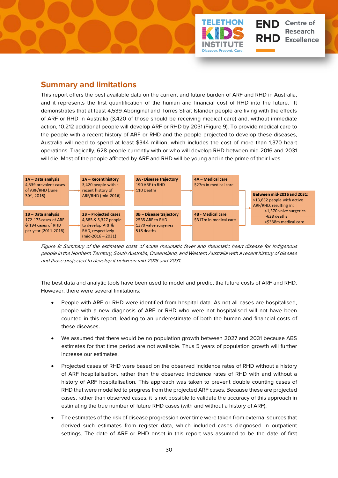## <span id="page-34-0"></span>**Summary and limitations**

This report offers the best available data on the current and future burden of ARF and RHD in Australia, and it represents the first quantification of the human and financial cost of RHD into the future. It demonstrates that at least 4,539 Aboriginal and Torres Strait Islander people are living with the effects of ARF or RHD in Australia (3,420 of those should be receiving medical care) and, without immediate action, 10,212 additional people will develop ARF or RHD by 2031 (Figure 9). To provide medical care to the people with a recent history of ARF or RHD and the people projected to develop these diseases, Australia will need to spend at least \$344 million, which includes the cost of more than 1,370 heart operations. Tragically, 628 people currently with or who will develop RHD between mid-2016 and 2031 will die. Most of the people affected by ARF and RHD will be young and in the prime of their lives.

**TELETHON** 

<span id="page-34-1"></span>er. Prevent. Cure

**END** Centre of

**Research Excellence** 



Figure 9: Summary of the estimated costs of acute rheumatic fever and rheumatic heart disease for Indigenous people in the Northern Territory, South Australia, Queensland, and Western Australia with a recent history of disease and those projected to develop it between mid-2016 and 2031.

The best data and analytic tools have been used to model and predict the future costs of ARF and RHD. However, there were several limitations:

- People with ARF or RHD were identified from hospital data. As not all cases are hospitalised, people with a new diagnosis of ARF or RHD who were not hospitalised will not have been counted in this report, leading to an underestimate of both the human and financial costs of these diseases.
- We assumed that there would be no population growth between 2027 and 2031 because ABS estimates for that time period are not available. Thus 5 years of population growth will further increase our estimates.
- Projected cases of RHD were based on the observed incidence rates of RHD without a history of ARF hospitalisation, rather than the observed incidence rates of RHD with and without a history of ARF hospitalisation. This approach was taken to prevent double counting cases of RHD that were modelled to progress from the projected ARF cases. Because these are projected cases, rather than observed cases, it is not possible to validate the accuracy of this approach in estimating the true number of future RHD cases (with and without a history of ARF).
- The estimates of the risk of disease progression over time were taken from external sources that derived such estimates from register data, which included cases diagnosed in outpatient settings. The date of ARF or RHD onset in this report was assumed to be the date of first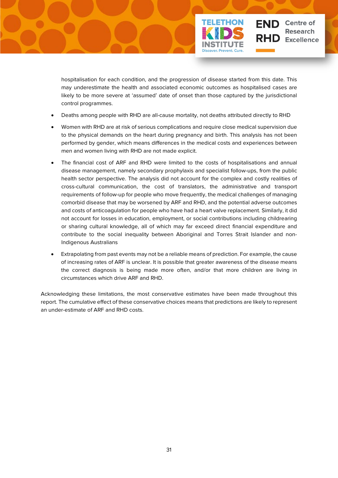

hospitalisation for each condition, and the progression of disease started from this date. This may underestimate the health and associated economic outcomes as hospitalised cases are likely to be more severe at 'assumed' date of onset than those captured by the jurisdictional control programmes.

- Deaths among people with RHD are all-cause mortality, not deaths attributed directly to RHD
- Women with RHD are at risk of serious complications and require close medical supervision due to the physical demands on the heart during pregnancy and birth. This analysis has not been performed by gender, which means differences in the medical costs and experiences between men and women living with RHD are not made explicit.
- The financial cost of ARF and RHD were limited to the costs of hospitalisations and annual disease management, namely secondary prophylaxis and specialist follow-ups, from the public health sector perspective. The analysis did not account for the complex and costly realities of cross-cultural communication, the cost of translators, the administrative and transport requirements of follow-up for people who move frequently, the medical challenges of managing comorbid disease that may be worsened by ARF and RHD, and the potential adverse outcomes and costs of anticoagulation for people who have had a heart valve replacement. Similarly, it did not account for losses in education, employment, or social contributions including childrearing or sharing cultural knowledge, all of which may far exceed direct financial expenditure and contribute to the social inequality between Aboriginal and Torres Strait Islander and non-Indigenous Australians
- Extrapolating from past events may not be a reliable means of prediction. For example, the cause of increasing rates of ARF is unclear. It is possible that greater awareness of the disease means the correct diagnosis is being made more often, and/or that more children are living in circumstances which drive ARF and RHD.

Acknowledging these limitations, the most conservative estimates have been made throughout this report. The cumulative effect of these conservative choices means that predictions are likely to represent an under-estimate of ARF and RHD costs.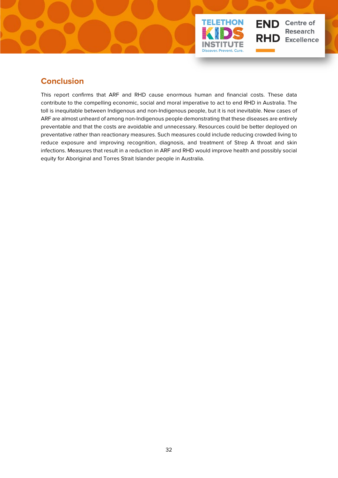

## <span id="page-36-0"></span>**Conclusion**

This report confirms that ARF and RHD cause enormous human and financial costs. These data contribute to the compelling economic, social and moral imperative to act to end RHD in Australia. The toll is inequitable between Indigenous and non-Indigenous people, but it is not inevitable. New cases of ARF are almost unheard of among non-Indigenous people demonstrating that these diseases are entirely preventable and that the costs are avoidable and unnecessary. Resources could be better deployed on preventative rather than reactionary measures. Such measures could include reducing crowded living to reduce exposure and improving recognition, diagnosis, and treatment of Strep A throat and skin infections. Measures that result in a reduction in ARF and RHD would improve health and possibly social equity for Aboriginal and Torres Strait Islander people in Australia.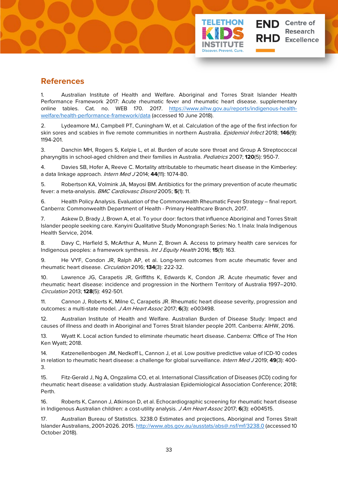## <span id="page-37-0"></span>**References**

1. Australian Institute of Health and Welfare. Aboriginal and Torres Strait Islander Health Performance Framework 2017: Acute rheumatic fever and rheumatic heart disease. supplementary online tables. Cat. no. WEB 170. 2017. [https://www.aihw.gov.au/reports/indigenous-health](https://www.aihw.gov.au/reports/indigenous-health-welfare/health-performance-framework/data)[welfare/health-performance-framework/data](https://www.aihw.gov.au/reports/indigenous-health-welfare/health-performance-framework/data) (accessed 10 June 2018).

er. Prevent. Cu

**Centre of** 

**Excellence** 

2. Lydeamore MJ, Campbell PT, Cuningham W, et al. Calculation of the age of the first infection for skin sores and scabies in five remote communities in northern Australia. Epidemiol Infect 2018; **146**(9): 1194-201.

3. Danchin MH, Rogers S, Kelpie L, et al. Burden of acute sore throat and Group A Streptococcal pharyngitis in school-aged children and their families in Australia. Pediatrics 2007; **120**(5): 950-7.

4. Davies SB, Hofer A, Reeve C. Mortality attributable to rheumatic heart disease in the Kimberley: a data linkage approach. Intern Med J 2014; **44**(11): 1074-80.

5. Robertson KA, Volmink JA, Mayosi BM. Antibiotics for the primary prevention of acute rheumatic fever: a meta-analysis. BMC Cardiovasc Disord 2005; **5**(1): 11.

6. Health Policy Analysis. Evaluation of the Commonwealth Rheumatic Fever Strategy – final report. Canberra: Commonwealth Department of Health - Primary Healthcare Branch, 2017.

7. Askew D, Brady J, Brown A, et al. To your door: factors that influence Aboriginal and Torres Strait Islander people seeking care. Kanyini Qualitative Study Monongraph Series: No. 1. Inala: Inala Indigenous Health Service, 2014.

8. Davy C, Harfield S, McArthur A, Munn Z, Brown A. Access to primary health care services for Indigenous peoples: a framework synthesis. Int J Equity Health 2016; **15**(1): 163.

9. He VYF, Condon JR, Ralph AP, et al. Long-term outcomes from acute rheumatic fever and rheumatic heart disease. Circulation 2016; **134**(3): 222-32.

10. Lawrence JG, Carapetis JR, Griffiths K, Edwards K, Condon JR. Acute rheumatic fever and rheumatic heart disease: incidence and progression in the Northern Territory of Australia 1997–2010. Circulation 2013; **128**(5): 492-501.

11. Cannon J, Roberts K, Milne C, Carapetis JR. Rheumatic heart disease severity, progression and outcomes: a multi-state model. J Am Heart Assoc 2017; **6**(3): e003498.

12. Australian Institute of Health and Welfare. Australian Burden of Disease Study: Impact and causes of illness and death in Aboriginal and Torres Strait Islander people 2011. Canberra: AIHW, 2016.

13. Wyatt K. Local action funded to eliminate rheumatic heart disease. Canberra: Office of The Hon Ken Wyatt; 2018.

14. Katzenellenbogen JM, Nedkoff L, Cannon J, et al. Low positive predictive value of ICD-10 codes in relation to rheumatic heart disease: a challenge for global surveillance. Intern Med J 2019; **49**(3): 400- 3.

15. Fitz-Gerald J, Ng A, Ongzalima CO, et al. International Classification of Diseases (ICD) coding for rheumatic heart disease: a validation study. Australasian Epidemiological Association Conference; 2018; Perth.

16. Roberts K, Cannon J, Atkinson D, et al. Echocardiographic screening for rheumatic heart disease in Indigenous Australian children: a cost-utility analysis. J Am Heart Assoc 2017; **6**(3): e004515.

17. Australian Bureau of Statistics. 3238.0 Estimates and projections, Aboriginal and Torres Strait Islander Australians, 2001-2026. 2015[. http://www.abs.gov.au/ausstats/abs@.nsf/mf/3238.0](http://www.abs.gov.au/ausstats/abs@.nsf/mf/3238.0) (accessed 10 October 2018).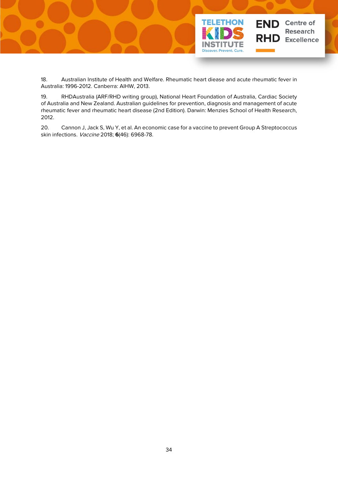

18. Australian Institute of Health and Welfare. Rheumatic heart diease and acute rheumatic fever in Australia: 1996-2012. Canberra: AIHW, 2013.

19. RHDAustralia (ARF/RHD writing group), National Heart Foundation of Australia, Cardiac Society of Australia and New Zealand. Australian guidelines for prevention, diagnosis and management of acute rheumatic fever and rheumatic heart disease (2nd Edition). Darwin: Menzies School of Health Research, 2012.

20. Cannon J, Jack S, Wu Y, et al. An economic case for a vaccine to prevent Group A Streptococcus skin infections. Vaccine 2018; **6**(46): 6968-78.